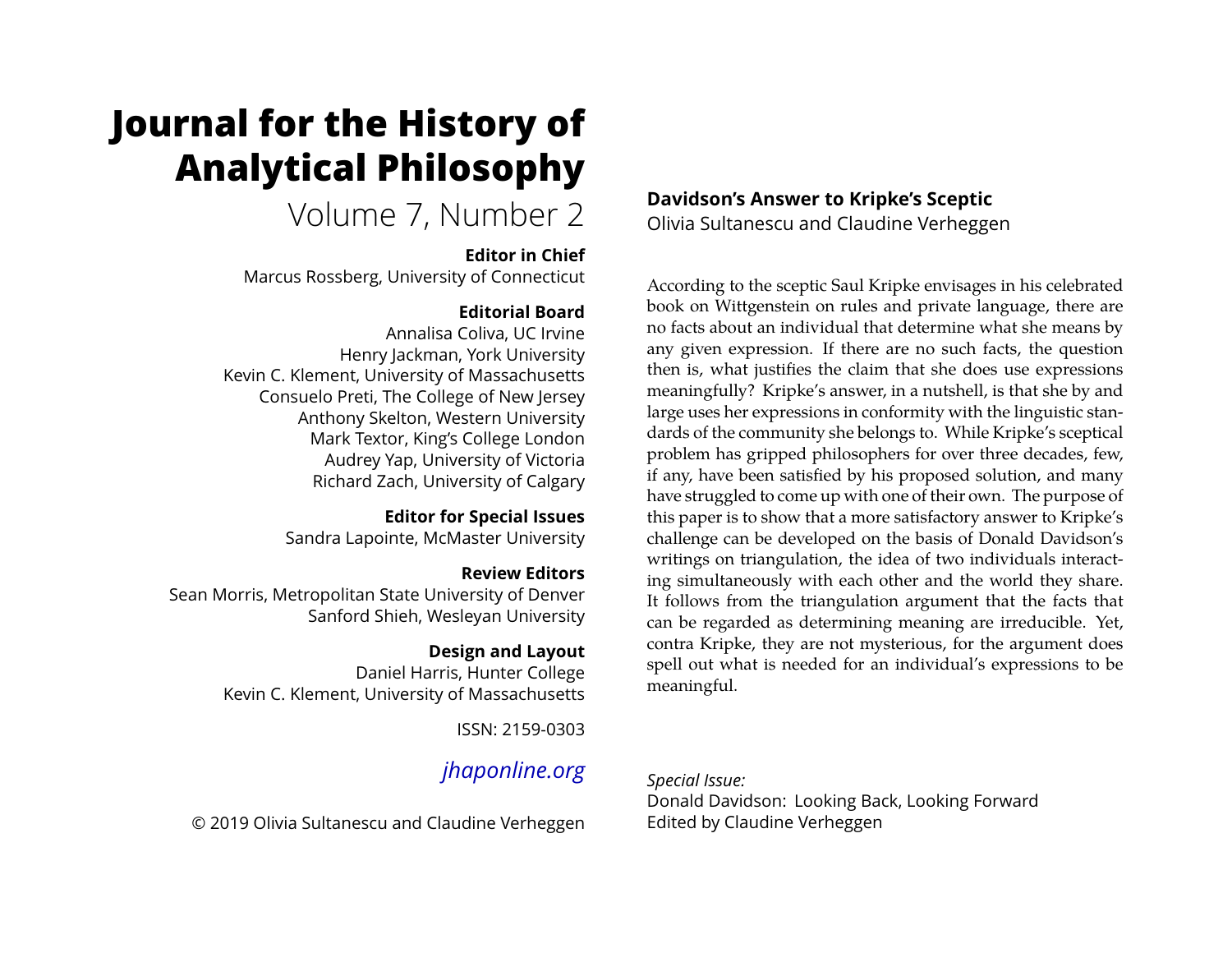# **Journal for the History of Analytical Philosophy**

Volume 7, Number 2

#### **Editor in Chief**

Marcus Rossberg, University of Connecticut

## **Editorial Board**

Annalisa Coliva, UC Irvine Henry Jackman, York University Kevin C. Klement, University of Massachusetts Consuelo Preti, The College of New Jersey Anthony Skelton, Western University Mark Textor, King's College London Audrey Yap, University of Victoria Richard Zach, University of Calgary

## **Editor for Special Issues**

Sandra Lapointe, McMaster University

## **Review Editors**

Sean Morris, Metropolitan State University of Denver Sanford Shieh, Wesleyan University

## **Design and Layout**

Daniel Harris, Hunter College Kevin C. Klement, University of Massachusetts

ISSN: 2159-0303

# *[jhaponline.org](https://jhaponline.org)*

© 2019 Olivia Sultanescu and Claudine Verheggen

## **Davidson's Answer to Kripke's Sceptic**

Olivia Sultanescu and Claudine Verheggen

According to the sceptic Saul Kripke envisages in his celebrated book on Wittgenstein on rules and private language, there are no facts about an individual that determine what she means by any given expression. If there are no such facts, the question then is, what justifies the claim that she does use expressions meaningfully? Kripke's answer, in a nutshell, is that she by and large uses her expressions in conformity with the linguistic standards of the community she belongs to. While Kripke's sceptical problem has gripped philosophers for over three decades, few, if any, have been satisfied by his proposed solution, and many have struggled to come up with one of their own. The purpose of this paper is to show that a more satisfactory answer to Kripke's challenge can be developed on the basis of Donald Davidson's writings on triangulation, the idea of two individuals interacting simultaneously with each other and the world they share. It follows from the triangulation argument that the facts that can be regarded as determining meaning are irreducible. Yet, contra Kripke, they are not mysterious, for the argument does spell out what is needed for an individual's expressions to be meaningful.

## *Special Issue:*

Donald Davidson: Looking Back, Looking Forward Edited by Claudine Verheggen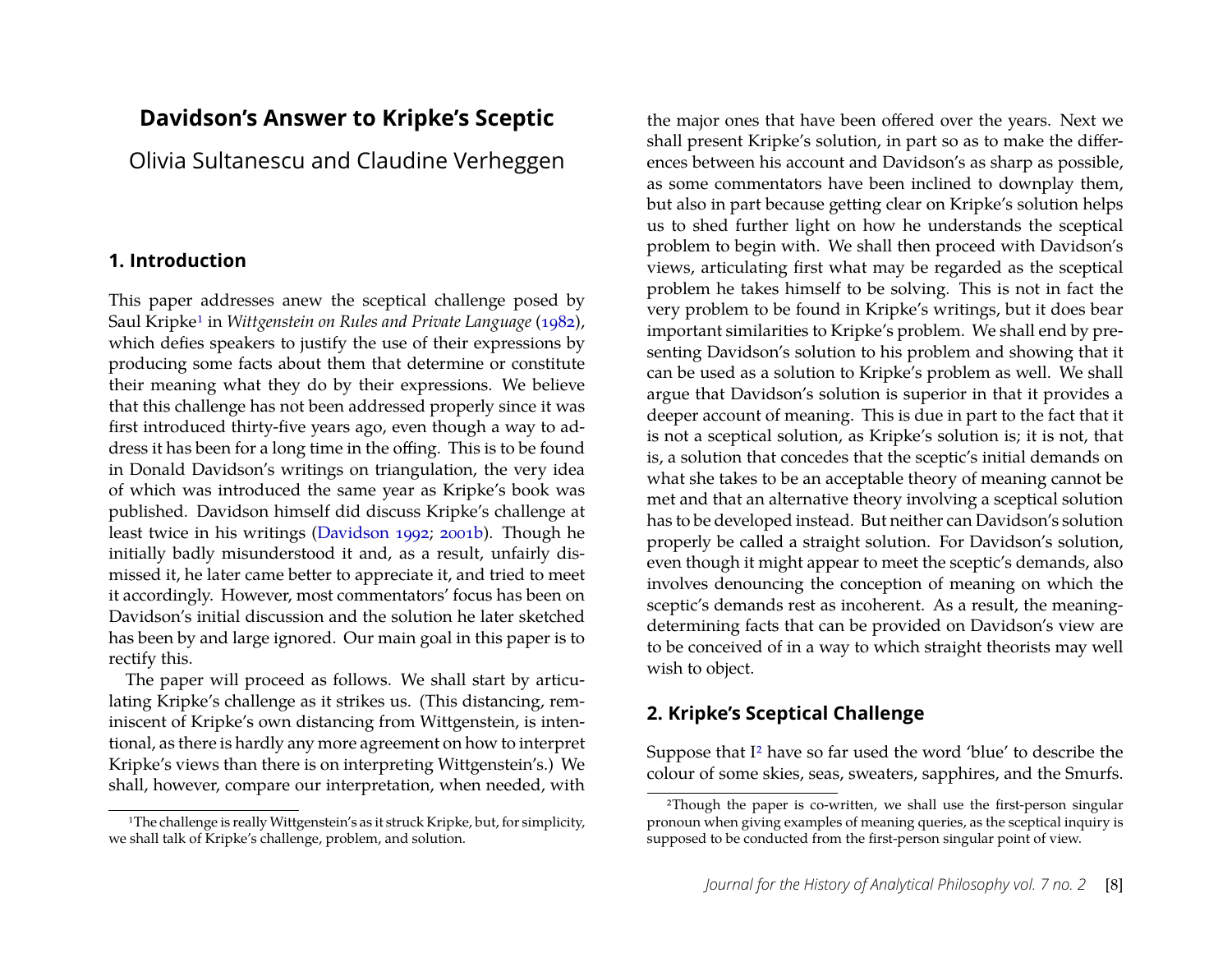## **Davidson's Answer to Kripke's Sceptic**

Olivia Sultanescu and Claudine Verheggen

#### **1. Introduction**

This paper addresses anew the sceptical challenge posed by Saul Kripk[e1](#page-1-0) in *Wittgenstein on Rules and Private Language* ([1982\)](#page-20-0), which defies speakers to justify the use of their expressions by producing some facts about them that determine or constitute their meaning what they do by their expressions. We believe that this challenge has not been addressed properly since it was first introduced thirty-five years ago, even though a way to address it has been for a long time in the offing. This is to be found in Donald Davidson's writings on triangulation, the very idea of which was introduced the same year as Kripke's book was published. Davidson himself did discuss Kripke's challenge at least twice in his writings [\(Davidson 1992;](#page-20-1) [2001b\)](#page-20-2). Though he initially badly misunderstood it and, as a result, unfairly dismissed it, he later came better to appreciate it, and tried to meet it accordingly. However, most commentators' focus has been on Davidson's initial discussion and the solution he later sketched has been by and large ignored. Our main goal in this paper is to rectify this.

The paper will proceed as follows. We shall start by articulating Kripke's challenge as it strikes us. (This distancing, reminiscent of Kripke's own distancing from Wittgenstein, is intentional, as there is hardly any more agreement on how to interpret Kripke's views than there is on interpreting Wittgenstein's.) We shall, however, compare our interpretation, when needed, with

the major ones that have been offered over the years. Next we shall present Kripke's solution, in part so as to make the differences between his account and Davidson's as sharp as possible, as some commentators have been inclined to downplay them, but also in part because getting clear on Kripke's solution helps us to shed further light on how he understands the sceptical problem to begin with. We shall then proceed with Davidson's views, articulating first what may be regarded as the sceptical problem he takes himself to be solving. This is not in fact the very problem to be found in Kripke's writings, but it does bear important similarities to Kripke's problem. We shall end by presenting Davidson's solution to his problem and showing that it can be used as a solution to Kripke's problem as well. We shall argue that Davidson's solution is superior in that it provides a deeper account of meaning. This is due in part to the fact that it is not a sceptical solution, as Kripke's solution is; it is not, that is, a solution that concedes that the sceptic's initial demands on what she takes to be an acceptable theory of meaning cannot be met and that an alternative theory involving a sceptical solution has to be developed instead. But neither can Davidson's solution properly be called a straight solution. For Davidson's solution, even though it might appear to meet the sceptic's demands, also involves denouncing the conception of meaning on which the sceptic's demands rest as incoherent. As a result, the meaningdetermining facts that can be provided on Davidson's view are to be conceived of in a way to which straight theorists may well wish to object.

## <span id="page-1-2"></span>**2. Kripke's Sceptical Challenge**

Suppose that I[2](#page-1-1) have so far used the word 'blue' to describe the colour of some skies, seas, sweaters, sapphires, and the Smurfs.

<span id="page-1-0"></span><sup>&</sup>lt;sup>1</sup>The challenge is really Wittgenstein's as it struck Kripke, but, for simplicity, we shall talk of Kripke's challenge, problem, and solution.

<span id="page-1-1"></span><sup>2</sup>Though the paper is co-written, we shall use the first-person singular pronoun when giving examples of meaning queries, as the sceptical inquiry is supposed to be conducted from the first-person singular point of view.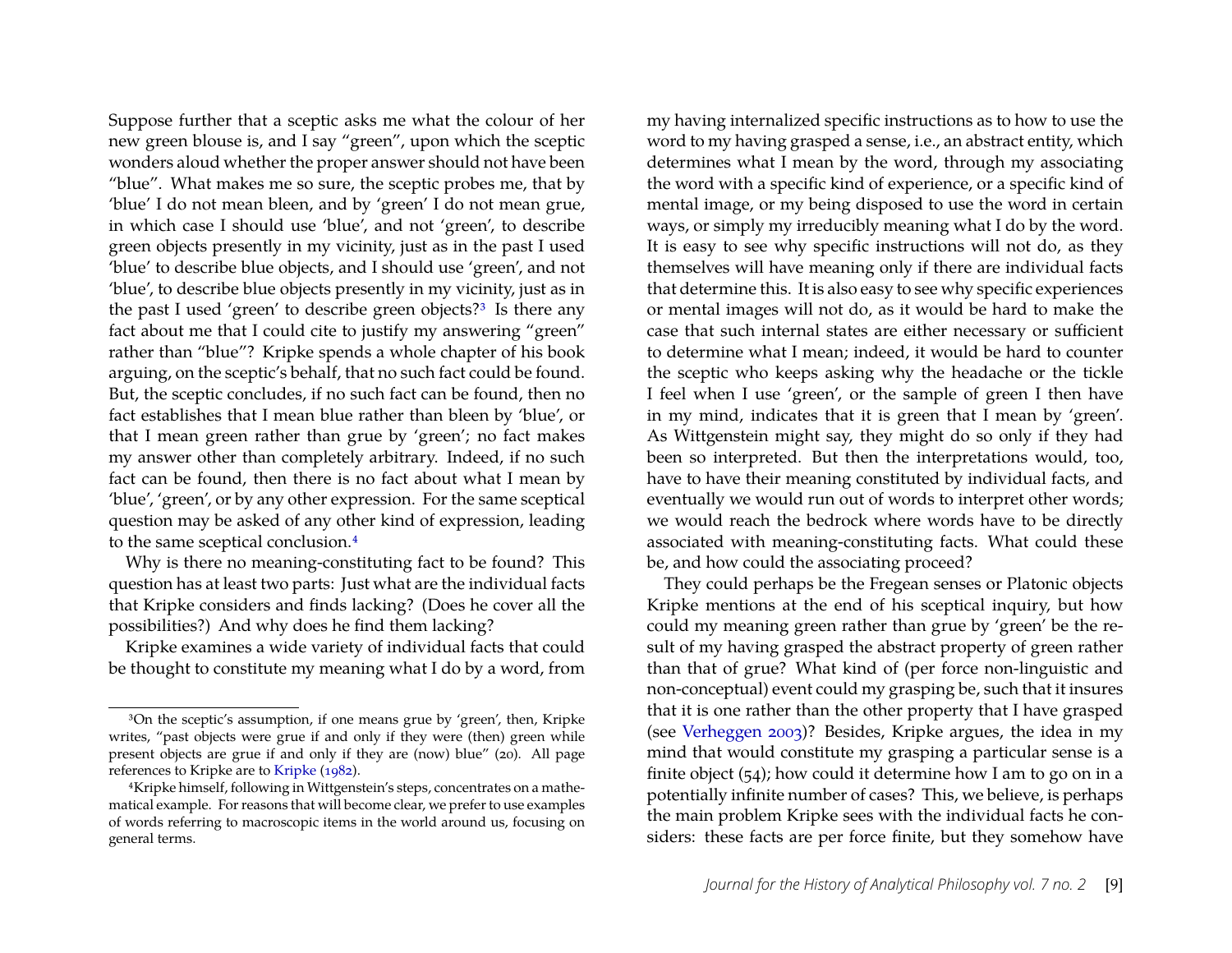Suppose further that a sceptic asks me what the colour of her new green blouse is, and I say "green", upon which the sceptic wonders aloud whether the proper answer should not have been "blue". What makes me so sure, the sceptic probes me, that by 'blue' I do not mean bleen, and by 'green' I do not mean grue, in which case I should use 'blue', and not 'green', to describe green objects presently in my vicinity, just as in the past I used 'blue' to describe blue objects, and I should use 'green', and not 'blue', to describe blue objects presently in my vicinity, just as in the past I used 'green' to describe green objects?<sup>3</sup> Is there any fact about me that I could cite to justify my answering "green" rather than "blue"? Kripke spends a whole chapter of his book arguing, on the sceptic's behalf, that no such fact could be found. But, the sceptic concludes, if no such fact can be found, then no fact establishes that I mean blue rather than bleen by 'blue', or that I mean green rather than grue by 'green'; no fact makes my answer other than completely arbitrary. Indeed, if no such fact can be found, then there is no fact about what I mean by 'blue', 'green', or by any other expression. For the same sceptical question may be asked of any other kind of expression, leading to the same sceptical conclusion[.4](#page-2-1)

Why is there no meaning-constituting fact to be found? This question has at least two parts: Just what are the individual facts that Kripke considers and finds lacking? (Does he cover all the possibilities?) And why does he find them lacking?

Kripke examines a wide variety of individual facts that could be thought to constitute my meaning what I do by a word, from

my having internalized specific instructions as to how to use the word to my having grasped a sense, i.e., an abstract entity, which determines what I mean by the word, through my associating the word with a specific kind of experience, or a specific kind of mental image, or my being disposed to use the word in certain ways, or simply my irreducibly meaning what I do by the word. It is easy to see why specific instructions will not do, as they themselves will have meaning only if there are individual facts that determine this. It is also easy to see why specific experiences or mental images will not do, as it would be hard to make the case that such internal states are either necessary or sufficient to determine what I mean; indeed, it would be hard to counter the sceptic who keeps asking why the headache or the tickle I feel when I use 'green', or the sample of green I then have in my mind, indicates that it is green that I mean by 'green'. As Wittgenstein might say, they might do so only if they had been so interpreted. But then the interpretations would, too, have to have their meaning constituted by individual facts, and eventually we would run out of words to interpret other words; we would reach the bedrock where words have to be directly associated with meaning-constituting facts. What could these be, and how could the associating proceed?

They could perhaps be the Fregean senses or Platonic objects Kripke mentions at the end of his sceptical inquiry, but how could my meaning green rather than grue by 'green' be the result of my having grasped the abstract property of green rather than that of grue? What kind of (per force non-linguistic and non-conceptual) event could my grasping be, such that it insures that it is one rather than the other property that I have grasped (see [Verheggen](#page-21-0) [2003\)](#page-21-0)? Besides, Kripke argues, the idea in my mind that would constitute my grasping a particular sense is a finite object (54); how could it determine how I am to go on in a potentially infinite number of cases? This, we believe, is perhaps the main problem Kripke sees with the individual facts he considers: these facts are per force finite, but they somehow have

<span id="page-2-0"></span><sup>3</sup>On the sceptic's assumption, if one means grue by 'green', then, Kripke writes, "past objects were grue if and only if they were (then) green while present objects are grue if and only if they are (now) blue" (20). All page references to Kripke are to [Kripke](#page-20-0) [\(1982\)](#page-20-0).

<span id="page-2-1"></span><sup>4</sup>Kripke himself, following in Wittgenstein's steps, concentrates on a mathematical example. For reasons that will become clear, we prefer to use examples of words referring to macroscopic items in the world around us, focusing on general terms.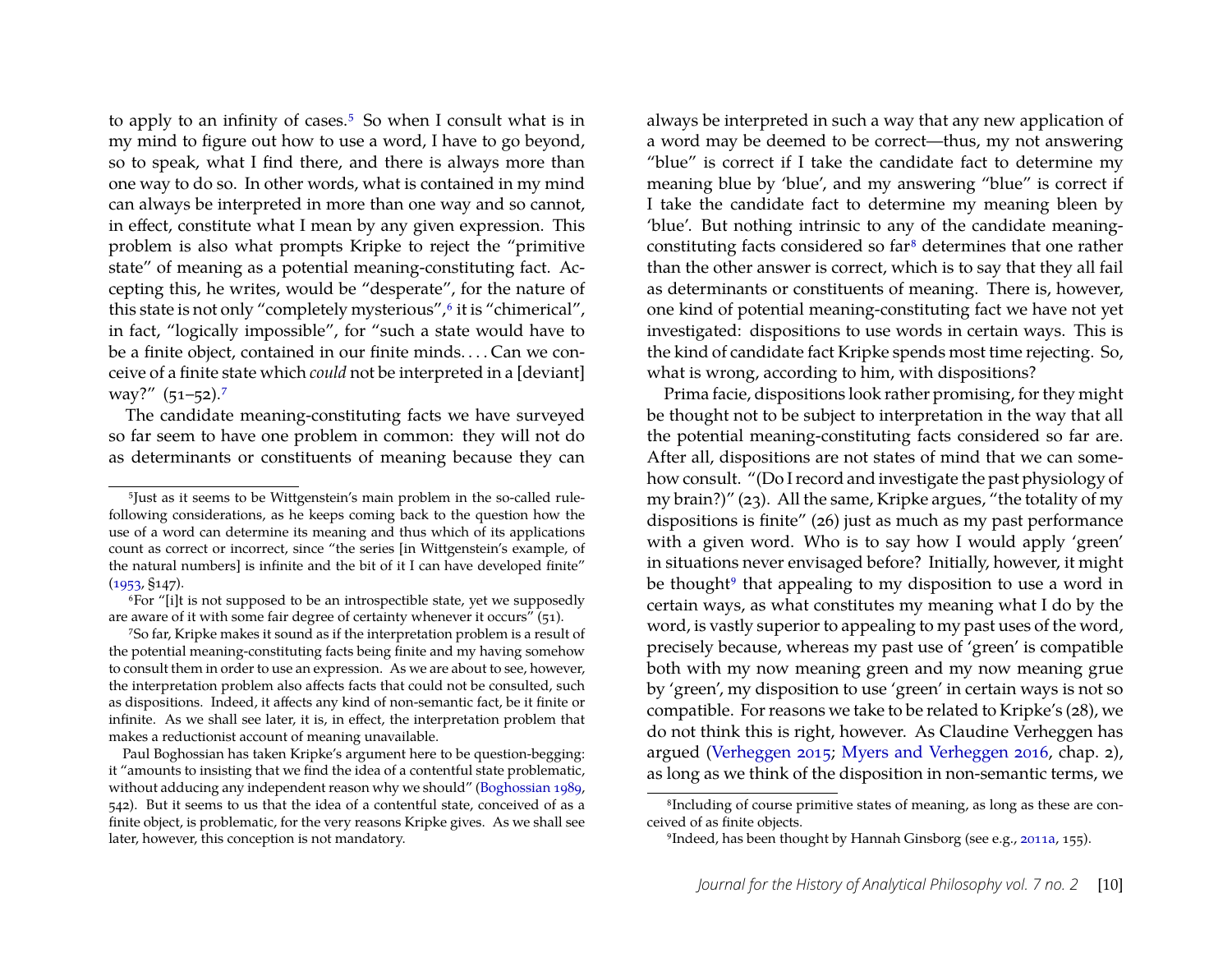to apply to an infinity of cases.<sup>5</sup> So when I consult what is in my mind to figure out how to use a word, I have to go beyond, so to speak, what I find there, and there is always more than one way to do so. In other words, what is contained in my mind can always be interpreted in more than one way and so cannot, in effect, constitute what I mean by any given expression. This problem is also what prompts Kripke to reject the "primitive state" of meaning as a potential meaning-constituting fact. Accepting this, he writes, would be "desperate", for the nature of this state is not only "completely mysterious",<sup>6</sup> it is "chimerical", in fact, "logically impossible", for "such a state would have to be a finite object, contained in our finite minds. . . . Can we conceive of a finite state which *could* not be interpreted in a [deviant] way?" (51–52).<sup>[7](#page-3-2)</sup>

The candidate meaning-constituting facts we have surveyed so far seem to have one problem in common: they will not do as determinants or constituents of meaning because they can always be interpreted in such a way that any new application of a word may be deemed to be correct—thus, my not answering "blue" is correct if I take the candidate fact to determine my meaning blue by 'blue', and my answering "blue" is correct if I take the candidate fact to determine my meaning bleen by 'blue'. But nothing intrinsic to any of the candidate meaningconstituting facts considered so far[8](#page-3-3) determines that one rather than the other answer is correct, which is to say that they all fail as determinants or constituents of meaning. There is, however, one kind of potential meaning-constituting fact we have not yet investigated: dispositions to use words in certain ways. This is the kind of candidate fact Kripke spends most time rejecting. So, what is wrong, according to him, with dispositions?

Prima facie, dispositions look rather promising, for they might be thought not to be subject to interpretation in the way that all the potential meaning-constituting facts considered so far are. After all, dispositions are not states of mind that we can somehow consult. "(Do I record and investigate the past physiology of my brain?)" (23). All the same, Kripke argues, "the totality of my dispositions is finite" (26) just as much as my past performance with a given word. Who is to say how I would apply 'green' in situations never envisaged before? Initially, however, it might be thought<sup>[9](#page-3-4)</sup> that appealing to my disposition to use a word in certain ways, as what constitutes my meaning what I do by the word, is vastly superior to appealing to my past uses of the word, precisely because, whereas my past use of 'green' is compatible both with my now meaning green and my now meaning grue by 'green', my disposition to use 'green' in certain ways is not so compatible. For reasons we take to be related to Kripke's (28), we do not think this is right, however. As Claudine Verheggen has argued [\(Verheggen 2015;](#page-21-2) [Myers and Verheggen 2016,](#page-21-3) chap. 2), as long as we think of the disposition in non-semantic terms, we

<span id="page-3-0"></span><sup>5</sup>Just as it seems to be Wittgenstein's main problem in the so-called rulefollowing considerations, as he keeps coming back to the question how the use of a word can determine its meaning and thus which of its applications count as correct or incorrect, since "the series [in Wittgenstein's example, of the natural numbers] is infinite and the bit of it I can have developed finite" ([1953,](#page-21-1) §147).

<span id="page-3-1"></span><sup>6</sup>For "[i]t is not supposed to be an introspectible state, yet we supposedly are aware of it with some fair degree of certainty whenever it occurs" (51).

<span id="page-3-2"></span><sup>7</sup>So far, Kripke makes it sound as if the interpretation problem is a result of the potential meaning-constituting facts being finite and my having somehow to consult them in order to use an expression. As we are about to see, however, the interpretation problem also affects facts that could not be consulted, such as dispositions. Indeed, it affects any kind of non-semantic fact, be it finite or infinite. As we shall see later, it is, in effect, the interpretation problem that makes a reductionist account of meaning unavailable.

Paul Boghossian has taken Kripke's argument here to be question-begging: it "amounts to insisting that we find the idea of a contentful state problematic, without adducing any independent reason why we should" [\(Boghossian 1989,](#page-19-0) 542). But it seems to us that the idea of a contentful state, conceived of as a finite object, is problematic, for the very reasons Kripke gives. As we shall see later, however, this conception is not mandatory.

<span id="page-3-3"></span><sup>8</sup>Including of course primitive states of meaning, as long as these are conceived of as finite objects.

<span id="page-3-4"></span><sup>9</sup>Indeed, has been thought by Hannah Ginsborg (see e.g., [2011a,](#page-20-3) 155).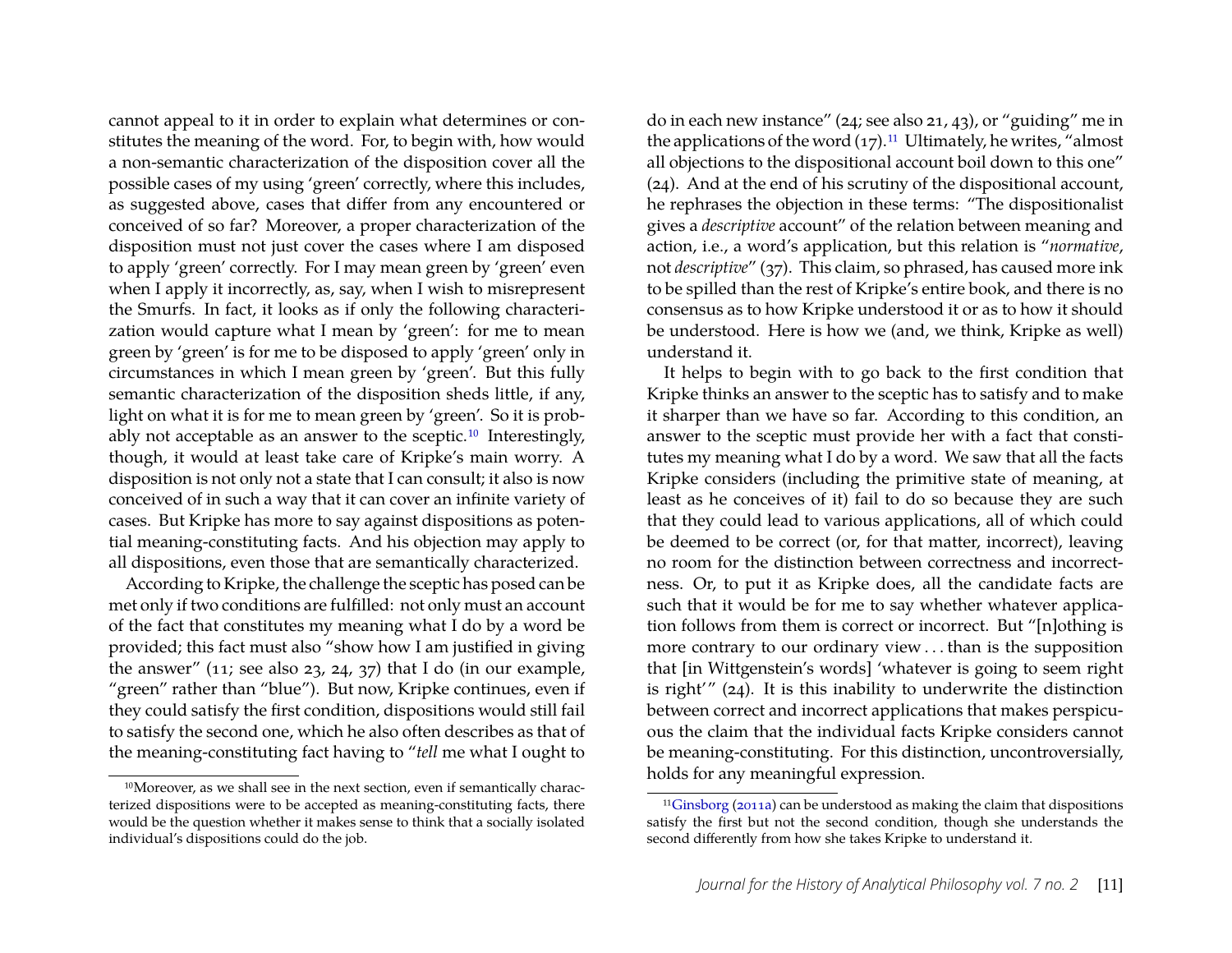cannot appeal to it in order to explain what determines or constitutes the meaning of the word. For, to begin with, how would a non-semantic characterization of the disposition cover all the possible cases of my using 'green' correctly, where this includes, as suggested above, cases that differ from any encountered or conceived of so far? Moreover, a proper characterization of the disposition must not just cover the cases where I am disposed to apply 'green' correctly. For I may mean green by 'green' even when I apply it incorrectly, as, say, when I wish to misrepresent the Smurfs. In fact, it looks as if only the following characterization would capture what I mean by 'green': for me to mean green by 'green' is for me to be disposed to apply 'green' only in circumstances in which I mean green by 'green'. But this fully semantic characterization of the disposition sheds little, if any, light on what it is for me to mean green by 'green'. So it is probably not acceptable as an answer to the sceptic.[10](#page-4-0) Interestingly, though, it would at least take care of Kripke's main worry. A disposition is not only not a state that I can consult; it also is now conceived of in such a way that it can cover an infinite variety of cases. But Kripke has more to say against dispositions as potential meaning-constituting facts. And his objection may apply to all dispositions, even those that are semantically characterized.

According to Kripke, the challenge the sceptic has posed can be met only if two conditions are fulfilled: not only must an account of the fact that constitutes my meaning what I do by a word be provided; this fact must also "show how I am justified in giving the answer" (11; see also 23, 24, 37) that I do (in our example, "green" rather than "blue"). But now, Kripke continues, even if they could satisfy the first condition, dispositions would still fail to satisfy the second one, which he also often describes as that of the meaning-constituting fact having to "*tell* me what I ought to

do in each new instance" (24; see also 21, 43), or "guiding" me in the applications of the word  $(17)^{11}$  $(17)^{11}$  $(17)^{11}$  Ultimately, he writes, "almost" all objections to the dispositional account boil down to this one" (24). And at the end of his scrutiny of the dispositional account, he rephrases the objection in these terms: "The dispositionalist gives a *descriptive* account" of the relation between meaning and action, i.e., a word's application, but this relation is "*normative*, not *descriptive*" (37). This claim, so phrased, has caused more ink to be spilled than the rest of Kripke's entire book, and there is no consensus as to how Kripke understood it or as to how it should be understood. Here is how we (and, we think, Kripke as well) understand it.

It helps to begin with to go back to the first condition that Kripke thinks an answer to the sceptic has to satisfy and to make it sharper than we have so far. According to this condition, an answer to the sceptic must provide her with a fact that constitutes my meaning what I do by a word. We saw that all the facts Kripke considers (including the primitive state of meaning, at least as he conceives of it) fail to do so because they are such that they could lead to various applications, all of which could be deemed to be correct (or, for that matter, incorrect), leaving no room for the distinction between correctness and incorrectness. Or, to put it as Kripke does, all the candidate facts are such that it would be for me to say whether whatever application follows from them is correct or incorrect. But "[n]othing is more contrary to our ordinary view . . . than is the supposition that [in Wittgenstein's words] 'whatever is going to seem right is right'" (24). It is this inability to underwrite the distinction between correct and incorrect applications that makes perspicuous the claim that the individual facts Kripke considers cannot be meaning-constituting. For this distinction, uncontroversially, holds for any meaningful expression.

<span id="page-4-0"></span><sup>10</sup>Moreover, as we shall see in the next section, even if semantically characterized dispositions were to be accepted as meaning-constituting facts, there would be the question whether it makes sense to think that a socially isolated individual's dispositions could do the job.

<span id="page-4-1"></span><sup>11</sup>[Ginsborg](#page-20-3) [\(2011a\)](#page-20-3) can be understood as making the claim that dispositions satisfy the first but not the second condition, though she understands the second differently from how she takes Kripke to understand it.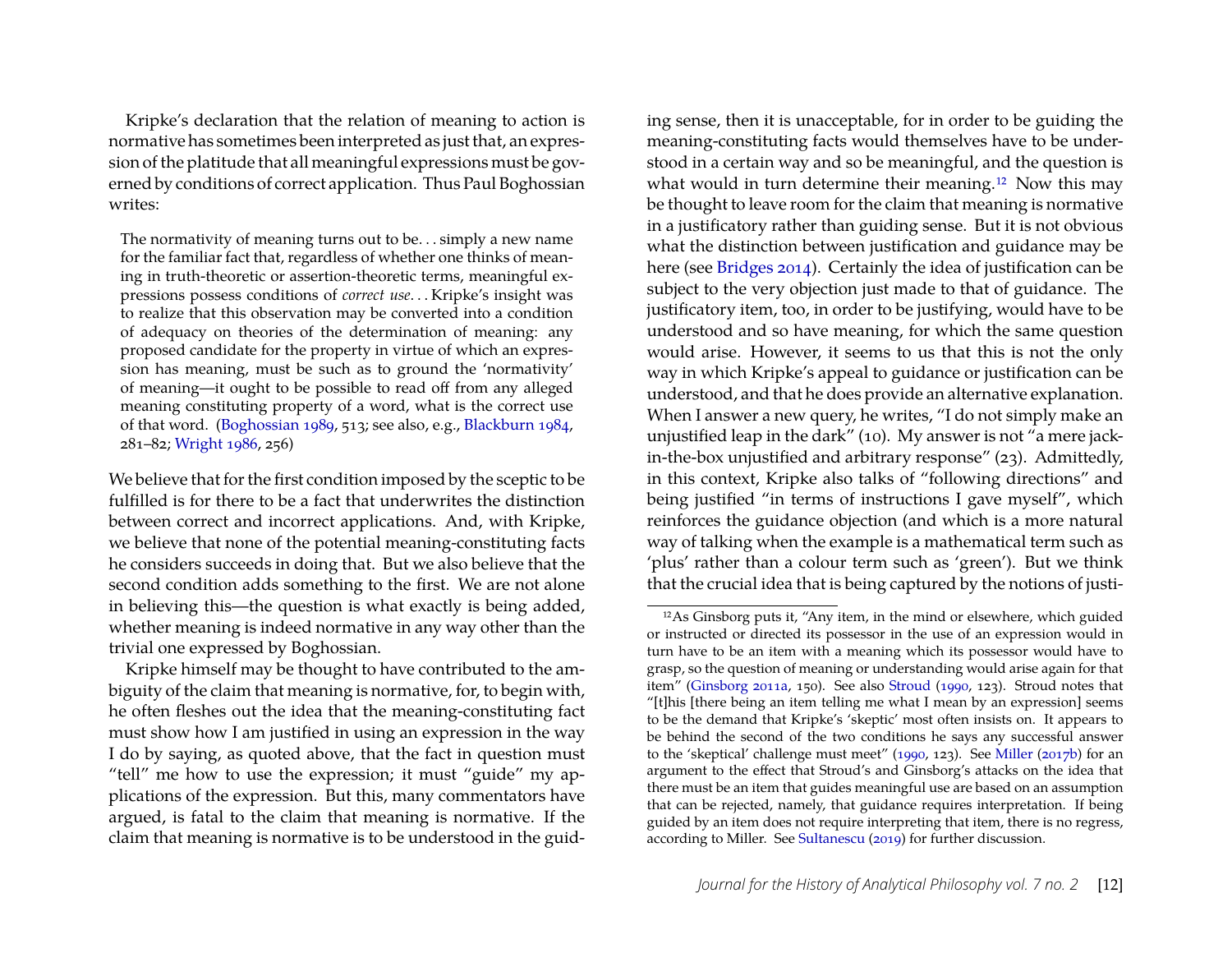Kripke's declaration that the relation of meaning to action is normative has sometimes been interpreted as just that, an expression of the platitude that all meaningful expressions must be governed by conditions of correct application. Thus Paul Boghossian writes:

The normativity of meaning turns out to be. . . simply a new name for the familiar fact that, regardless of whether one thinks of meaning in truth-theoretic or assertion-theoretic terms, meaningful expressions possess conditions of *correct use*. . . Kripke's insight was to realize that this observation may be converted into a condition of adequacy on theories of the determination of meaning: any proposed candidate for the property in virtue of which an expression has meaning, must be such as to ground the 'normativity' of meaning—it ought to be possible to read off from any alleged meaning constituting property of a word, what is the correct use of that word. [\(Boghossian 1989,](#page-19-0) 513; see also, e.g., [Blackburn 1984,](#page-19-1) 281–82; [Wright 1986,](#page-21-4) 256)

We believe that for the first condition imposed by the sceptic to be fulfilled is for there to be a fact that underwrites the distinction between correct and incorrect applications. And, with Kripke, we believe that none of the potential meaning-constituting facts he considers succeeds in doing that. But we also believe that the second condition adds something to the first. We are not alone in believing this—the question is what exactly is being added, whether meaning is indeed normative in any way other than the trivial one expressed by Boghossian.

Kripke himself may be thought to have contributed to the ambiguity of the claim that meaning is normative, for, to begin with, he often fleshes out the idea that the meaning-constituting fact must show how I am justified in using an expression in the way I do by saying, as quoted above, that the fact in question must "tell" me how to use the expression; it must "guide" my applications of the expression. But this, many commentators have argued, is fatal to the claim that meaning is normative. If the claim that meaning is normative is to be understood in the guid-

ing sense, then it is unacceptable, for in order to be guiding the meaning-constituting facts would themselves have to be understood in a certain way and so be meaningful, and the question is what would in turn determine their meaning.<sup>[12](#page-5-0)</sup> Now this may be thought to leave room for the claim that meaning is normative in a justificatory rather than guiding sense. But it is not obvious what the distinction between justification and guidance may be here (see [Bridges 2014\)](#page-19-2). Certainly the idea of justification can be subject to the very objection just made to that of guidance. The justificatory item, too, in order to be justifying, would have to be understood and so have meaning, for which the same question would arise. However, it seems to us that this is not the only way in which Kripke's appeal to guidance or justification can be understood, and that he does provide an alternative explanation. When I answer a new query, he writes, "I do not simply make an unjustified leap in the dark" (10). My answer is not "a mere jackin-the-box unjustified and arbitrary response" (23). Admittedly, in this context, Kripke also talks of "following directions" and being justified "in terms of instructions I gave myself", which reinforces the guidance objection (and which is a more natural way of talking when the example is a mathematical term such as 'plus' rather than a colour term such as 'green'). But we think that the crucial idea that is being captured by the notions of justi-

<span id="page-5-0"></span><sup>12</sup>As Ginsborg puts it, "Any item, in the mind or elsewhere, which guided or instructed or directed its possessor in the use of an expression would in turn have to be an item with a meaning which its possessor would have to grasp, so the question of meaning or understanding would arise again for that item" [\(Ginsborg 2011a,](#page-20-3) 150). See also [Stroud](#page-21-5) [\(1990,](#page-21-5) 123). Stroud notes that "[t]his [there being an item telling me what I mean by an expression] seems to be the demand that Kripke's 'skeptic' most often insists on. It appears to be behind the second of the two conditions he says any successful answer to the 'skeptical' challenge must meet" [\(1990,](#page-21-5) 123). See [Miller](#page-21-6) [\(2017b\)](#page-21-6) for an argument to the effect that Stroud's and Ginsborg's attacks on the idea that there must be an item that guides meaningful use are based on an assumption that can be rejected, namely, that guidance requires interpretation. If being guided by an item does not require interpreting that item, there is no regress, according to Miller. See [Sultanescu](#page-21-7) [\(2019\)](#page-21-7) for further discussion.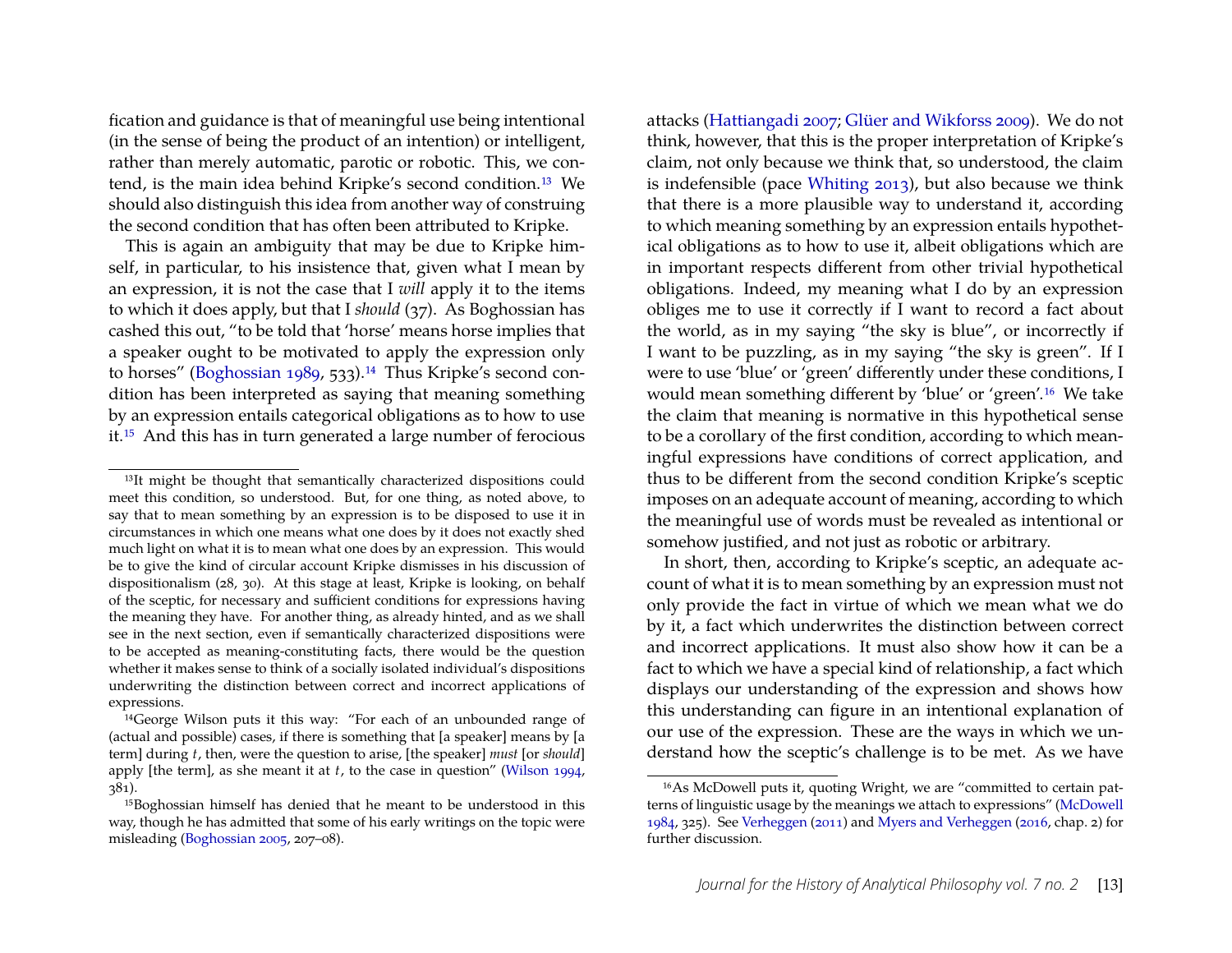fication and guidance is that of meaningful use being intentional (in the sense of being the product of an intention) or intelligent, rather than merely automatic, parotic or robotic. This, we contend, is the main idea behind Kripke's second condition.[13](#page-6-0) We should also distinguish this idea from another way of construing the second condition that has often been attributed to Kripke.

This is again an ambiguity that may be due to Kripke himself, in particular, to his insistence that, given what I mean by an expression, it is not the case that I *will* apply it to the items to which it does apply, but that I *should* (37). As Boghossian has cashed this out, "to be told that 'horse' means horse implies that a speaker ought to be motivated to apply the expression only to horses" [\(Boghossian 1989,](#page-19-0) 533).<sup>[14](#page-6-1)</sup> Thus Kripke's second condition has been interpreted as saying that meaning something by an expression entails categorical obligations as to how to use it.[15](#page-6-2) And this has in turn generated a large number of ferocious

attacks [\(Hattiangadi 2007;](#page-20-4) [Glüer and Wikforss 2009\)](#page-20-5). We do not think, however, that this is the proper interpretation of Kripke's claim, not only because we think that, so understood, the claim is indefensible (pace [Whiting 2013\)](#page-21-9), but also because we think that there is a more plausible way to understand it, according to which meaning something by an expression entails hypothetical obligations as to how to use it, albeit obligations which are in important respects different from other trivial hypothetical obligations. Indeed, my meaning what I do by an expression obliges me to use it correctly if I want to record a fact about the world, as in my saying "the sky is blue", or incorrectly if I want to be puzzling, as in my saying "the sky is green". If I were to use 'blue' or 'green' differently under these conditions, I would mean something different by 'blue' or 'green'.[16](#page-6-3) We take the claim that meaning is normative in this hypothetical sense to be a corollary of the first condition, according to which meaningful expressions have conditions of correct application, and thus to be different from the second condition Kripke's sceptic imposes on an adequate account of meaning, according to which the meaningful use of words must be revealed as intentional or somehow justified, and not just as robotic or arbitrary.

In short, then, according to Kripke's sceptic, an adequate account of what it is to mean something by an expression must not only provide the fact in virtue of which we mean what we do by it, a fact which underwrites the distinction between correct and incorrect applications. It must also show how it can be a fact to which we have a special kind of relationship, a fact which displays our understanding of the expression and shows how this understanding can figure in an intentional explanation of our use of the expression. These are the ways in which we understand how the sceptic's challenge is to be met. As we have

<span id="page-6-0"></span><sup>&</sup>lt;sup>13</sup>It might be thought that semantically characterized dispositions could meet this condition, so understood. But, for one thing, as noted above, to say that to mean something by an expression is to be disposed to use it in circumstances in which one means what one does by it does not exactly shed much light on what it is to mean what one does by an expression. This would be to give the kind of circular account Kripke dismisses in his discussion of dispositionalism (28, 30). At this stage at least, Kripke is looking, on behalf of the sceptic, for necessary and sufficient conditions for expressions having the meaning they have. For another thing, as already hinted, and as we shall see in the next section, even if semantically characterized dispositions were to be accepted as meaning-constituting facts, there would be the question whether it makes sense to think of a socially isolated individual's dispositions underwriting the distinction between correct and incorrect applications of expressions.

<span id="page-6-1"></span><sup>14</sup>George Wilson puts it this way: "For each of an unbounded range of (actual and possible) cases, if there is something that [a speaker] means by [a term] during *t*, then, were the question to arise, [the speaker] *must* [or *should*] apply [the term], as she meant it at *t*, to the case in question" [\(Wilson 1994,](#page-21-8) 381).

<span id="page-6-2"></span><sup>15</sup>Boghossian himself has denied that he meant to be understood in this way, though he has admitted that some of his early writings on the topic were misleading [\(Boghossian 2005,](#page-19-3) 207–08).

<span id="page-6-3"></span><sup>16</sup>As McDowell puts it, quoting Wright, we are "committed to certain patterns of linguistic usage by the meanings we attach to expressions" [\(McDowell](#page-20-6) [1984,](#page-20-6) 325). See [Verheggen](#page-21-10) [\(2011\)](#page-21-10) and [Myers and Verheggen](#page-21-3) [\(2016,](#page-21-3) chap. 2) for further discussion.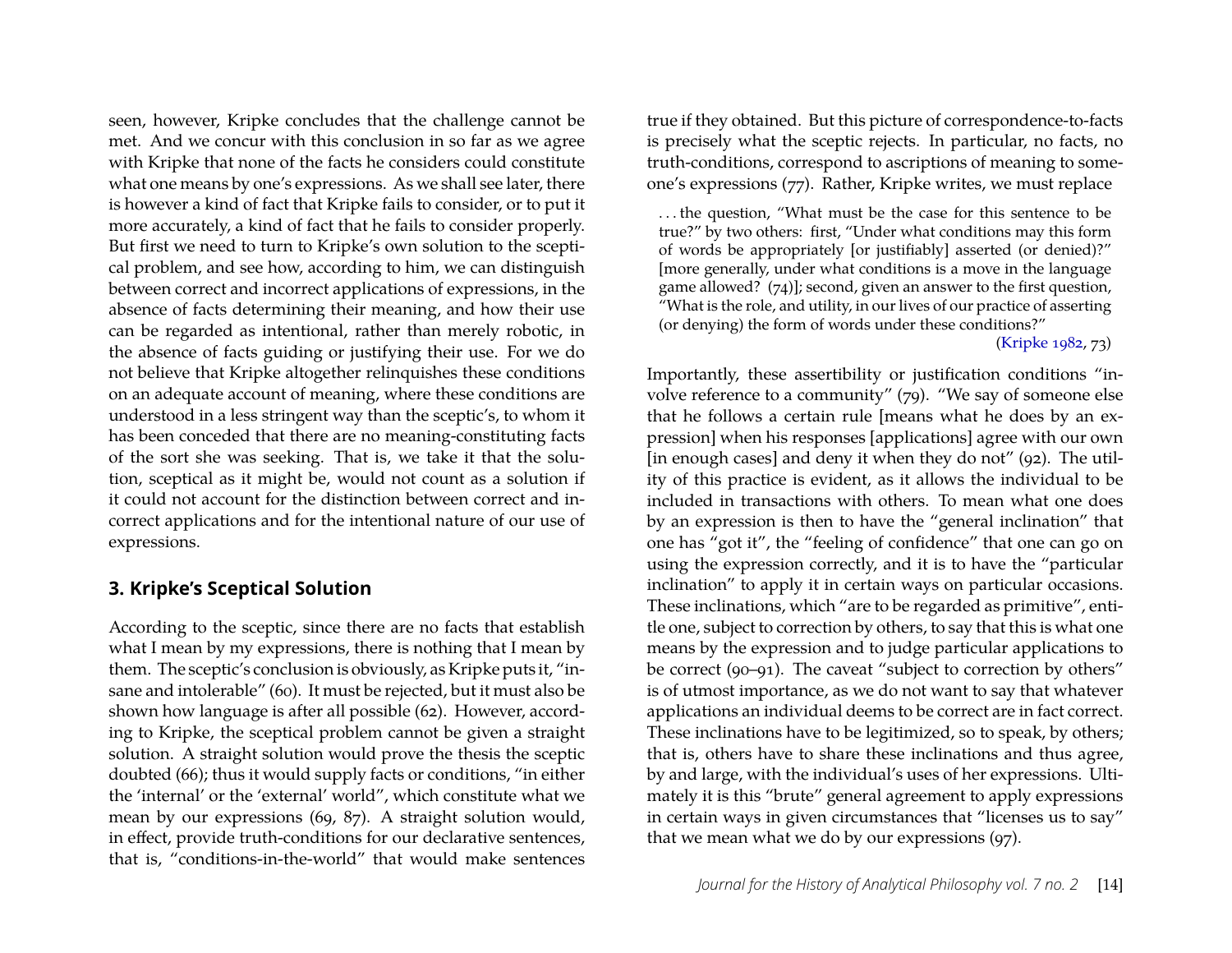seen, however, Kripke concludes that the challenge cannot be met. And we concur with this conclusion in so far as we agree with Kripke that none of the facts he considers could constitute what one means by one's expressions. As we shall see later, there is however a kind of fact that Kripke fails to consider, or to put it more accurately, a kind of fact that he fails to consider properly. But first we need to turn to Kripke's own solution to the sceptical problem, and see how, according to him, we can distinguish between correct and incorrect applications of expressions, in the absence of facts determining their meaning, and how their use can be regarded as intentional, rather than merely robotic, in the absence of facts guiding or justifying their use. For we do not believe that Kripke altogether relinquishes these conditions on an adequate account of meaning, where these conditions are understood in a less stringent way than the sceptic's, to whom it has been conceded that there are no meaning-constituting facts of the sort she was seeking. That is, we take it that the solution, sceptical as it might be, would not count as a solution if it could not account for the distinction between correct and incorrect applications and for the intentional nature of our use of expressions.

## **3. Kripke's Sceptical Solution**

According to the sceptic, since there are no facts that establish what I mean by my expressions, there is nothing that I mean by them. The sceptic's conclusion is obviously, as Kripke puts it, "insane and intolerable" (60). It must be rejected, but it must also be shown how language is after all possible (62). However, according to Kripke, the sceptical problem cannot be given a straight solution. A straight solution would prove the thesis the sceptic doubted (66); thus it would supply facts or conditions, "in either the 'internal' or the 'external' world", which constitute what we mean by our expressions (69, 87). A straight solution would, in effect, provide truth-conditions for our declarative sentences, that is, "conditions-in-the-world" that would make sentences

true if they obtained. But this picture of correspondence-to-facts is precisely what the sceptic rejects. In particular, no facts, no truth-conditions, correspond to ascriptions of meaning to someone's expressions (77). Rather, Kripke writes, we must replace

. . . the question, "What must be the case for this sentence to be true?" by two others: first, "Under what conditions may this form of words be appropriately [or justifiably] asserted (or denied)?" [more generally, under what conditions is a move in the language game allowed? (74)]; second, given an answer to the first question, "What is the role, and utility, in our lives of our practice of asserting (or denying) the form of words under these conditions?"

[\(Kripke 1982,](#page-20-0) 73)

Importantly, these assertibility or justification conditions "involve reference to a community" (79). "We say of someone else that he follows a certain rule [means what he does by an expression] when his responses [applications] agree with our own [in enough cases] and deny it when they do not" (92). The utility of this practice is evident, as it allows the individual to be included in transactions with others. To mean what one does by an expression is then to have the "general inclination" that one has "got it", the "feeling of confidence" that one can go on using the expression correctly, and it is to have the "particular inclination" to apply it in certain ways on particular occasions. These inclinations, which "are to be regarded as primitive", entitle one, subject to correction by others, to say that this is what one means by the expression and to judge particular applications to be correct (90–91). The caveat "subject to correction by others" is of utmost importance, as we do not want to say that whatever applications an individual deems to be correct are in fact correct. These inclinations have to be legitimized, so to speak, by others; that is, others have to share these inclinations and thus agree, by and large, with the individual's uses of her expressions. Ultimately it is this "brute" general agreement to apply expressions in certain ways in given circumstances that "licenses us to say" that we mean what we do by our expressions (97).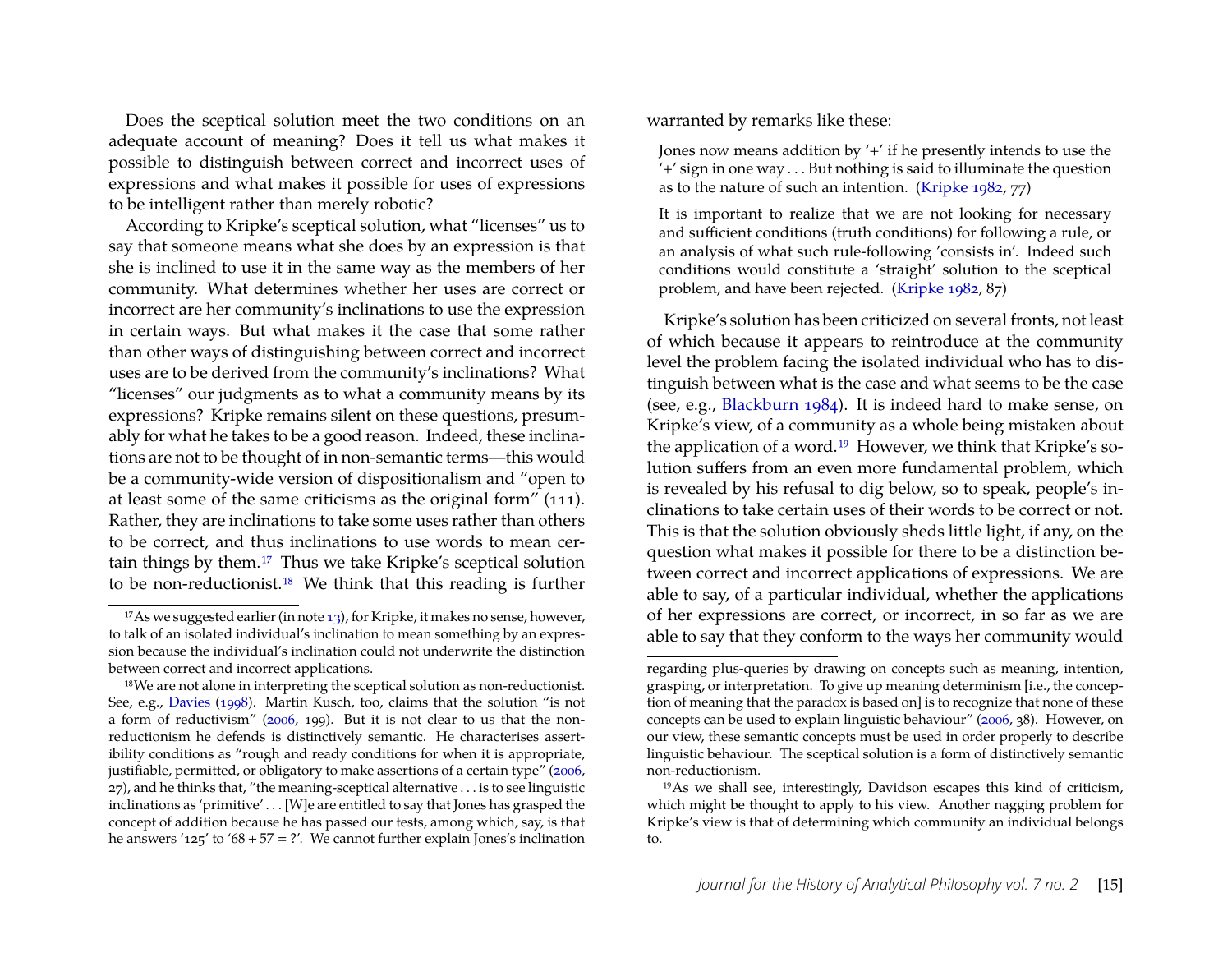Does the sceptical solution meet the two conditions on an adequate account of meaning? Does it tell us what makes it possible to distinguish between correct and incorrect uses of expressions and what makes it possible for uses of expressions to be intelligent rather than merely robotic?

According to Kripke's sceptical solution, what "licenses" us to say that someone means what she does by an expression is that she is inclined to use it in the same way as the members of her community. What determines whether her uses are correct or incorrect are her community's inclinations to use the expression in certain ways. But what makes it the case that some rather than other ways of distinguishing between correct and incorrect uses are to be derived from the community's inclinations? What "licenses" our judgments as to what a community means by its expressions? Kripke remains silent on these questions, presumably for what he takes to be a good reason. Indeed, these inclinations are not to be thought of in non-semantic terms—this would be a community-wide version of dispositionalism and "open to at least some of the same criticisms as the original form" (111). Rather, they are inclinations to take some uses rather than others to be correct, and thus inclinations to use words to mean certain things by them.[17](#page-8-0) Thus we take Kripke's sceptical solution to be non-reductionist.[18](#page-8-1) We think that this reading is further warranted by remarks like these:

Jones now means addition by '+' if he presently intends to use the '+' sign in one way . . . But nothing is said to illuminate the question as to the nature of such an intention. [\(Kripke 1982,](#page-20-0) 77)

It is important to realize that we are not looking for necessary and sufficient conditions (truth conditions) for following a rule, or an analysis of what such rule-following 'consists in'. Indeed such conditions would constitute a 'straight' solution to the sceptical problem, and have been rejected. [\(Kripke 1982,](#page-20-0) 87)

Kripke's solution has been criticized on several fronts, not least of which because it appears to reintroduce at the community level the problem facing the isolated individual who has to distinguish between what is the case and what seems to be the case (see, e.g., [Blackburn 1984\)](#page-19-1). It is indeed hard to make sense, on Kripke's view, of a community as a whole being mistaken about the application of a word.[19](#page-8-2) However, we think that Kripke's solution suffers from an even more fundamental problem, which is revealed by his refusal to dig below, so to speak, people's inclinations to take certain uses of their words to be correct or not. This is that the solution obviously sheds little light, if any, on the question what makes it possible for there to be a distinction between correct and incorrect applications of expressions. We are able to say, of a particular individual, whether the applications of her expressions are correct, or incorrect, in so far as we are able to say that they conform to the ways her community would

<span id="page-8-0"></span><sup>&</sup>lt;sup>17</sup>As we suggested earlier (in note  $13$ ), for Kripke, it makes no sense, however, to talk of an isolated individual's inclination to mean something by an expression because the individual's inclination could not underwrite the distinction between correct and incorrect applications.

<span id="page-8-1"></span><sup>&</sup>lt;sup>18</sup>We are not alone in interpreting the sceptical solution as non-reductionist. See, e.g., [Davies](#page-20-7) [\(1998\)](#page-20-7). Martin Kusch, too, claims that the solution "is not a form of reductivism" [\(2006,](#page-20-8) 199). But it is not clear to us that the nonreductionism he defends is distinctively semantic. He characterises assertibility conditions as "rough and ready conditions for when it is appropriate, justifiable, permitted, or obligatory to make assertions of a certain type" [\(2006,](#page-20-8) 27), and he thinks that, "the meaning-sceptical alternative . . . is to see linguistic inclinations as 'primitive' . . . [W]e are entitled to say that Jones has grasped the concept of addition because he has passed our tests, among which, say, is that he answers '125' to '68 + 57 = ?'. We cannot further explain Jones's inclination

regarding plus-queries by drawing on concepts such as meaning, intention, grasping, or interpretation. To give up meaning determinism [i.e., the conception of meaning that the paradox is based on] is to recognize that none of these concepts can be used to explain linguistic behaviour" [\(2006,](#page-20-8) 38). However, on our view, these semantic concepts must be used in order properly to describe linguistic behaviour. The sceptical solution is a form of distinctively semantic non-reductionism.

<span id="page-8-2"></span><sup>19</sup>As we shall see, interestingly, Davidson escapes this kind of criticism, which might be thought to apply to his view. Another nagging problem for Kripke's view is that of determining which community an individual belongs to.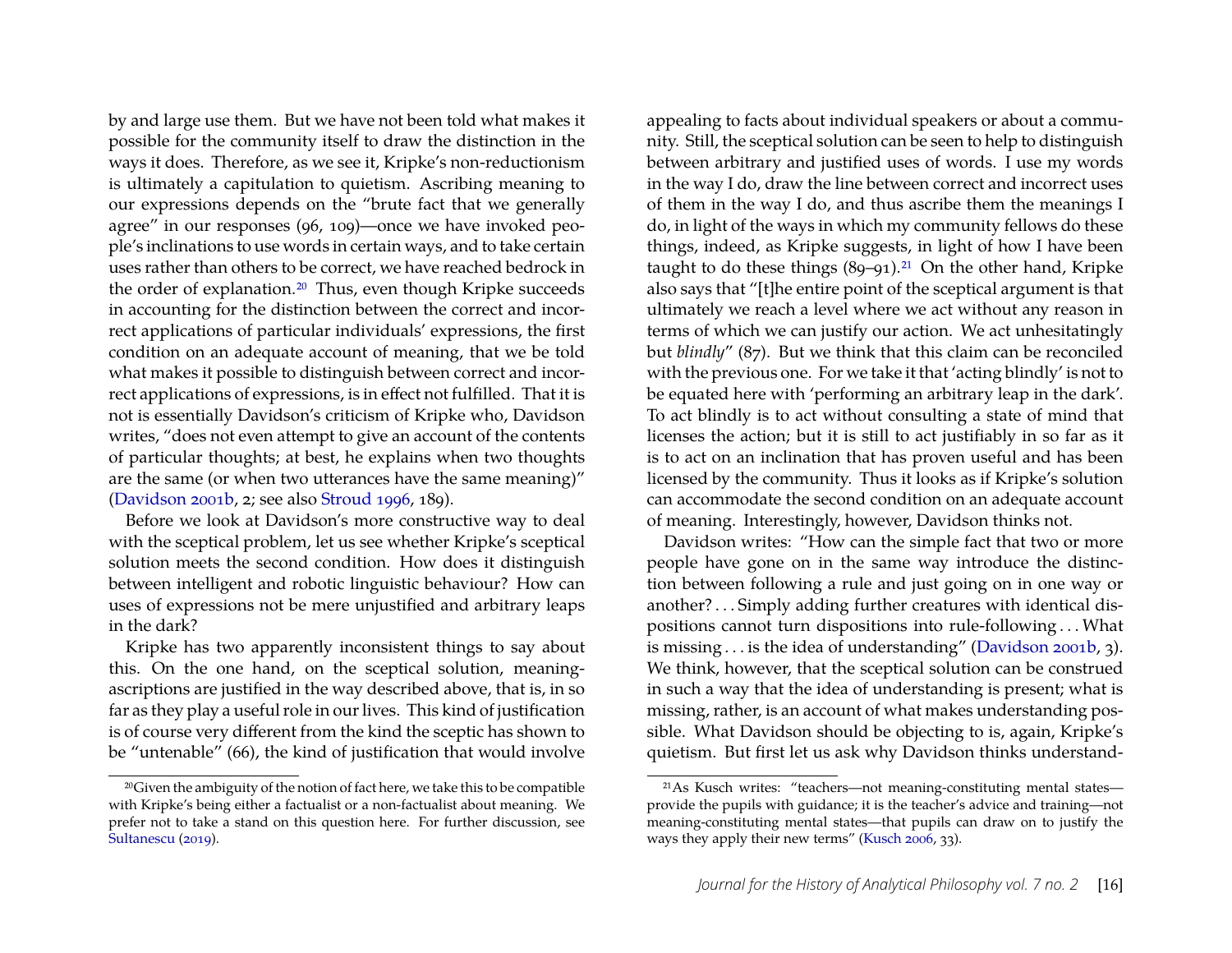by and large use them. But we have not been told what makes it possible for the community itself to draw the distinction in the ways it does. Therefore, as we see it, Kripke's non-reductionism is ultimately a capitulation to quietism. Ascribing meaning to our expressions depends on the "brute fact that we generally agree" in our responses (96, 109)—once we have invoked people's inclinations to use words in certain ways, and to take certain uses rather than others to be correct, we have reached bedrock in the order of explanation.<sup>[20](#page-9-0)</sup> Thus, even though Kripke succeeds in accounting for the distinction between the correct and incorrect applications of particular individuals' expressions, the first condition on an adequate account of meaning, that we be told what makes it possible to distinguish between correct and incorrect applications of expressions, is in effect not fulfilled. That it is not is essentially Davidson's criticism of Kripke who, Davidson writes, "does not even attempt to give an account of the contents of particular thoughts; at best, he explains when two thoughts are the same (or when two utterances have the same meaning)" [\(Davidson 2001b,](#page-20-2) 2; see also [Stroud 1996,](#page-21-11) 189).

Before we look at Davidson's more constructive way to deal with the sceptical problem, let us see whether Kripke's sceptical solution meets the second condition. How does it distinguish between intelligent and robotic linguistic behaviour? How can uses of expressions not be mere unjustified and arbitrary leaps in the dark?

Kripke has two apparently inconsistent things to say about this. On the one hand, on the sceptical solution, meaningascriptions are justified in the way described above, that is, in so far as they play a useful role in our lives. This kind of justification is of course very different from the kind the sceptic has shown to be "untenable" (66), the kind of justification that would involve

appealing to facts about individual speakers or about a community. Still, the sceptical solution can be seen to help to distinguish between arbitrary and justified uses of words. I use my words in the way I do, draw the line between correct and incorrect uses of them in the way I do, and thus ascribe them the meanings I do, in light of the ways in which my community fellows do these things, indeed, as Kripke suggests, in light of how I have been taught to do these things  $(89-91)^{21}$  $(89-91)^{21}$  $(89-91)^{21}$  On the other hand, Kripke also says that "[t]he entire point of the sceptical argument is that ultimately we reach a level where we act without any reason in terms of which we can justify our action. We act unhesitatingly but *blindly*" (87). But we think that this claim can be reconciled with the previous one. For we take it that 'acting blindly' is not to be equated here with 'performing an arbitrary leap in the dark'. To act blindly is to act without consulting a state of mind that licenses the action; but it is still to act justifiably in so far as it is to act on an inclination that has proven useful and has been licensed by the community. Thus it looks as if Kripke's solution can accommodate the second condition on an adequate account of meaning. Interestingly, however, Davidson thinks not.

Davidson writes: "How can the simple fact that two or more people have gone on in the same way introduce the distinction between following a rule and just going on in one way or another? . . . Simply adding further creatures with identical dispositions cannot turn dispositions into rule-following . . . What is missing . . . is the idea of understanding" [\(Davidson 2001b,](#page-20-2) 3). We think, however, that the sceptical solution can be construed in such a way that the idea of understanding is present; what is missing, rather, is an account of what makes understanding possible. What Davidson should be objecting to is, again, Kripke's quietism. But first let us ask why Davidson thinks understand-

<span id="page-9-0"></span><sup>20</sup>Given the ambiguity of the notion of fact here, we take this to be compatible with Kripke's being either a factualist or a non-factualist about meaning. We prefer not to take a stand on this question here. For further discussion, see [Sultanescu](#page-21-7) [\(2019\)](#page-21-7).

<span id="page-9-1"></span><sup>21</sup>As Kusch writes: "teachers—not meaning-constituting mental states provide the pupils with guidance; it is the teacher's advice and training—not meaning-constituting mental states—that pupils can draw on to justify the ways they apply their new terms" [\(Kusch 2006,](#page-20-8) 33).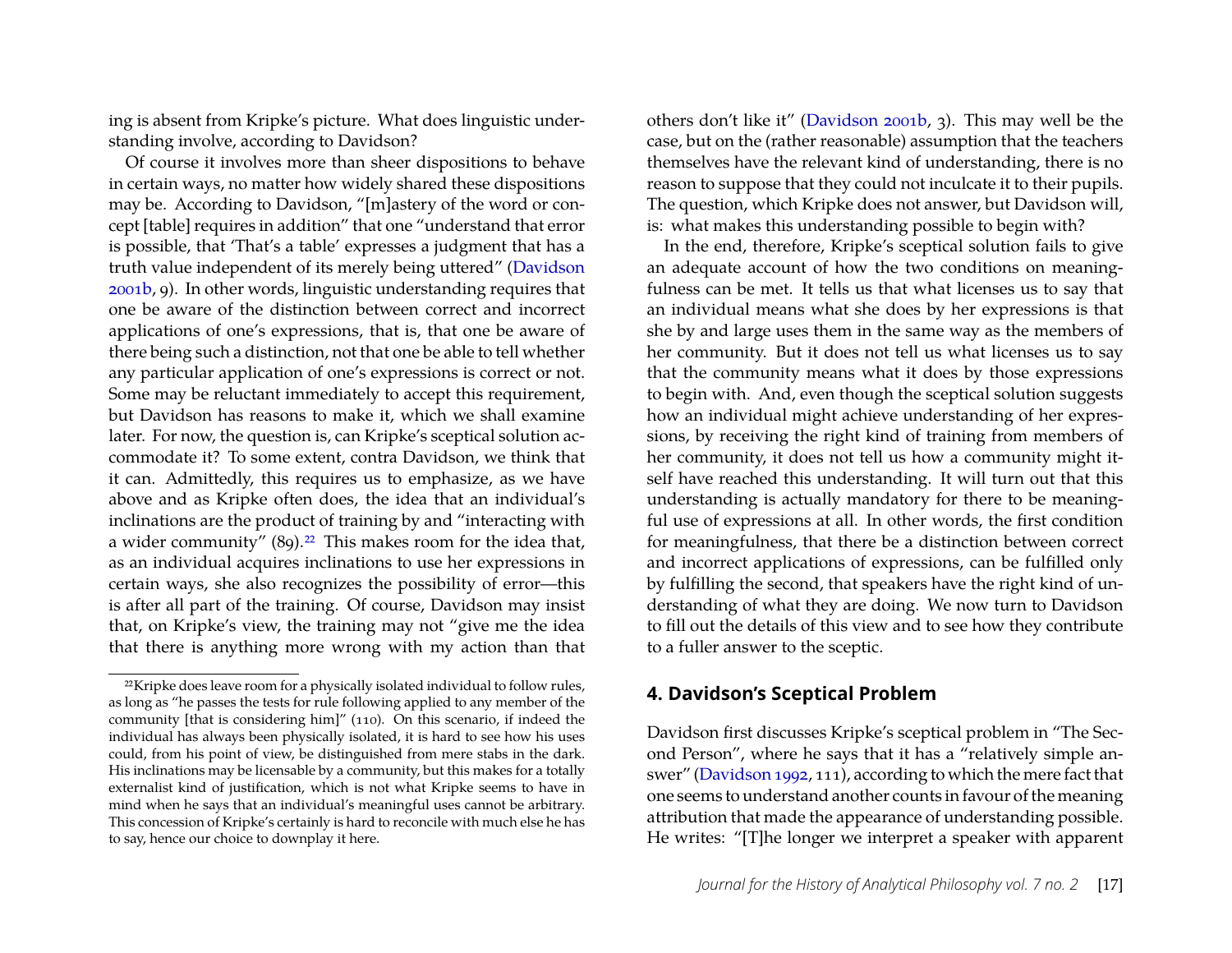ing is absent from Kripke's picture. What does linguistic understanding involve, according to Davidson?

Of course it involves more than sheer dispositions to behave in certain ways, no matter how widely shared these dispositions may be. According to Davidson, "[m]astery of the word or concept [table] requires in addition" that one "understand that error is possible, that 'That's a table' expresses a judgment that has a truth value independent of its merely being uttered" [\(Davidson](#page-20-2) [2001b,](#page-20-2) 9). In other words, linguistic understanding requires that one be aware of the distinction between correct and incorrect applications of one's expressions, that is, that one be aware of there being such a distinction, not that one be able to tell whether any particular application of one's expressions is correct or not. Some may be reluctant immediately to accept this requirement, but Davidson has reasons to make it, which we shall examine later. For now, the question is, can Kripke's sceptical solution accommodate it? To some extent, contra Davidson, we think that it can. Admittedly, this requires us to emphasize, as we have above and as Kripke often does, the idea that an individual's inclinations are the product of training by and "interacting with a wider community" (89).[22](#page-10-0) This makes room for the idea that, as an individual acquires inclinations to use her expressions in certain ways, she also recognizes the possibility of error—this is after all part of the training. Of course, Davidson may insist that, on Kripke's view, the training may not "give me the idea that there is anything more wrong with my action than that

others don't like it" [\(Davidson 2001b,](#page-20-2) 3). This may well be the case, but on the (rather reasonable) assumption that the teachers themselves have the relevant kind of understanding, there is no reason to suppose that they could not inculcate it to their pupils. The question, which Kripke does not answer, but Davidson will, is: what makes this understanding possible to begin with?

In the end, therefore, Kripke's sceptical solution fails to give an adequate account of how the two conditions on meaningfulness can be met. It tells us that what licenses us to say that an individual means what she does by her expressions is that she by and large uses them in the same way as the members of her community. But it does not tell us what licenses us to say that the community means what it does by those expressions to begin with. And, even though the sceptical solution suggests how an individual might achieve understanding of her expressions, by receiving the right kind of training from members of her community, it does not tell us how a community might itself have reached this understanding. It will turn out that this understanding is actually mandatory for there to be meaningful use of expressions at all. In other words, the first condition for meaningfulness, that there be a distinction between correct and incorrect applications of expressions, can be fulfilled only by fulfilling the second, that speakers have the right kind of understanding of what they are doing. We now turn to Davidson to fill out the details of this view and to see how they contribute to a fuller answer to the sceptic.

## **4. Davidson's Sceptical Problem**

Davidson first discusses Kripke's sceptical problem in "The Second Person", where he says that it has a "relatively simple answer" [\(Davidson 1992,](#page-20-1) 111), according to which the mere fact that one seems to understand another counts in favour of the meaning attribution that made the appearance of understanding possible. He writes: "[T]he longer we interpret a speaker with apparent

<span id="page-10-0"></span><sup>&</sup>lt;sup>22</sup>Kripke does leave room for a physically isolated individual to follow rules, as long as "he passes the tests for rule following applied to any member of the community [that is considering him]" (110). On this scenario, if indeed the individual has always been physically isolated, it is hard to see how his uses could, from his point of view, be distinguished from mere stabs in the dark. His inclinations may be licensable by a community, but this makes for a totally externalist kind of justification, which is not what Kripke seems to have in mind when he says that an individual's meaningful uses cannot be arbitrary. This concession of Kripke's certainly is hard to reconcile with much else he has to say, hence our choice to downplay it here.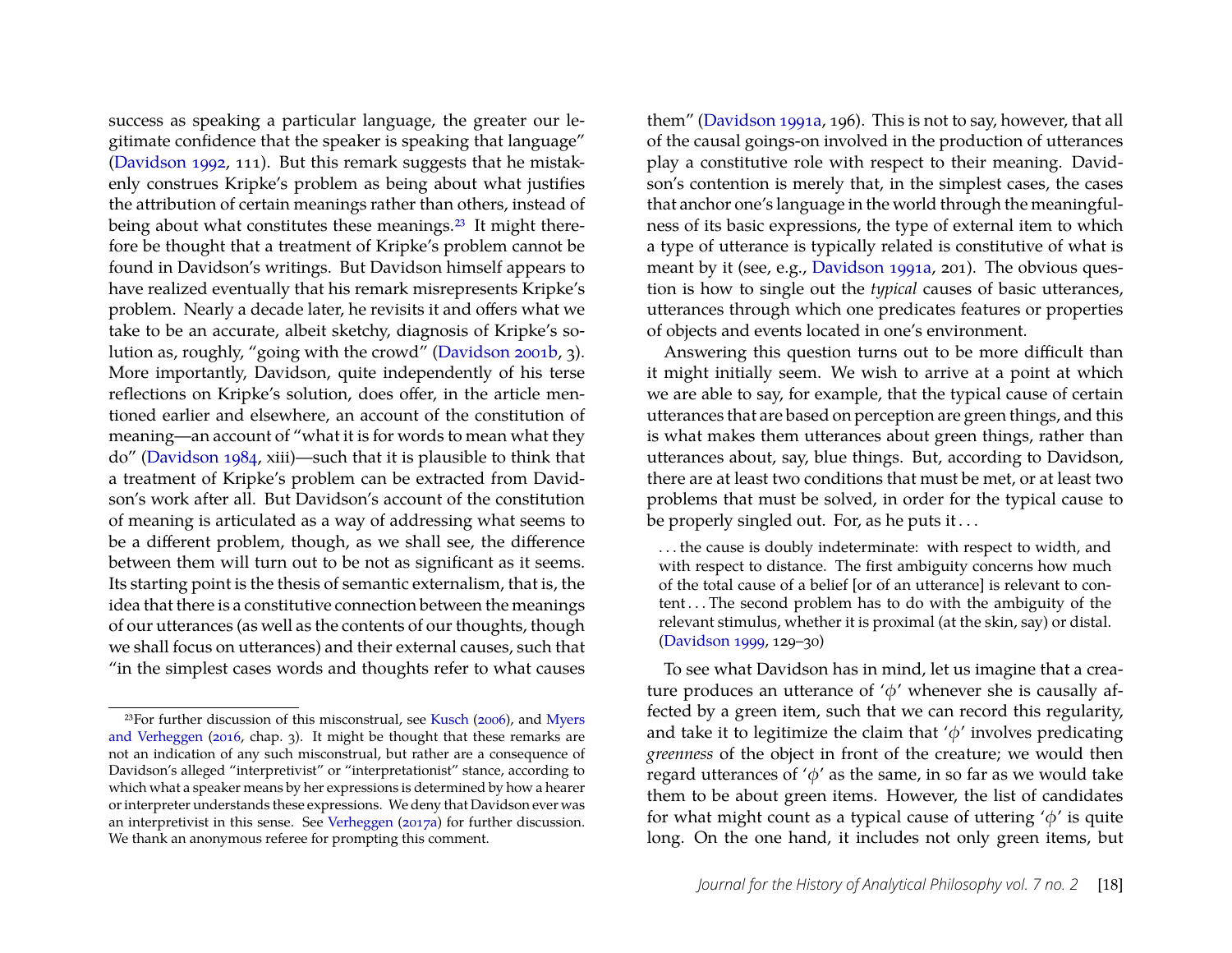success as speaking a particular language, the greater our legitimate confidence that the speaker is speaking that language" [\(Davidson 1992,](#page-20-1) 111). But this remark suggests that he mistakenly construes Kripke's problem as being about what justifies the attribution of certain meanings rather than others, instead of being about what constitutes these meanings.<sup>[23](#page-11-0)</sup> It might therefore be thought that a treatment of Kripke's problem cannot be found in Davidson's writings. But Davidson himself appears to have realized eventually that his remark misrepresents Kripke's problem. Nearly a decade later, he revisits it and offers what we take to be an accurate, albeit sketchy, diagnosis of Kripke's solution as, roughly, "going with the crowd" [\(Davidson 2001b,](#page-20-2) 3). More importantly, Davidson, quite independently of his terse reflections on Kripke's solution, does offer, in the article mentioned earlier and elsewhere, an account of the constitution of meaning—an account of "what it is for words to mean what they do" [\(Davidson 1984,](#page-20-9) xiii)—such that it is plausible to think that a treatment of Kripke's problem can be extracted from Davidson's work after all. But Davidson's account of the constitution of meaning is articulated as a way of addressing what seems to be a different problem, though, as we shall see, the difference between them will turn out to be not as significant as it seems. Its starting point is the thesis of semantic externalism, that is, the idea that there is a constitutive connection between the meanings of our utterances (as well as the contents of our thoughts, though we shall focus on utterances) and their external causes, such that "in the simplest cases words and thoughts refer to what causes them" [\(Davidson 1991a,](#page-20-10) 196). This is not to say, however, that all of the causal goings-on involved in the production of utterances play a constitutive role with respect to their meaning. Davidson's contention is merely that, in the simplest cases, the cases that anchor one's language in the world through the meaningfulness of its basic expressions, the type of external item to which a type of utterance is typically related is constitutive of what is meant by it (see, e.g., [Davidson 1991a,](#page-20-10) 201). The obvious question is how to single out the *typical* causes of basic utterances, utterances through which one predicates features or properties of objects and events located in one's environment.

Answering this question turns out to be more difficult than it might initially seem. We wish to arrive at a point at which we are able to say, for example, that the typical cause of certain utterances that are based on perception are green things, and this is what makes them utterances about green things, rather than utterances about, say, blue things. But, according to Davidson, there are at least two conditions that must be met, or at least two problems that must be solved, in order for the typical cause to be properly singled out. For, as he puts it . . .

. . . the cause is doubly indeterminate: with respect to width, and with respect to distance. The first ambiguity concerns how much of the total cause of a belief [or of an utterance] is relevant to content . . . The second problem has to do with the ambiguity of the relevant stimulus, whether it is proximal (at the skin, say) or distal. [\(Davidson 1999,](#page-20-11) 129–30)

To see what Davidson has in mind, let us imagine that a creature produces an utterance of ' $\phi$ ' whenever she is causally affected by a green item, such that we can record this regularity, and take it to legitimize the claim that  $\phi'$  involves predicating *greenness* of the object in front of the creature; we would then regard utterances of ' $\phi$ ' as the same, in so far as we would take them to be about green items. However, the list of candidates for what might count as a typical cause of uttering  $\phi'$  is quite long. On the one hand, it includes not only green items, but

<span id="page-11-0"></span><sup>23</sup>For further discussion of this misconstrual, see [Kusch](#page-20-8) [\(2006\)](#page-20-8), and [Myers](#page-21-3) [and Verheggen](#page-21-3) [\(2016,](#page-21-3) chap. 3). It might be thought that these remarks are not an indication of any such misconstrual, but rather are a consequence of Davidson's alleged "interpretivist" or "interpretationist" stance, according to which what a speaker means by her expressions is determined by how a hearer or interpreter understands these expressions. We deny that Davidson ever was an interpretivist in this sense. See [Verheggen](#page-21-12) [\(2017a\)](#page-21-12) for further discussion. We thank an anonymous referee for prompting this comment.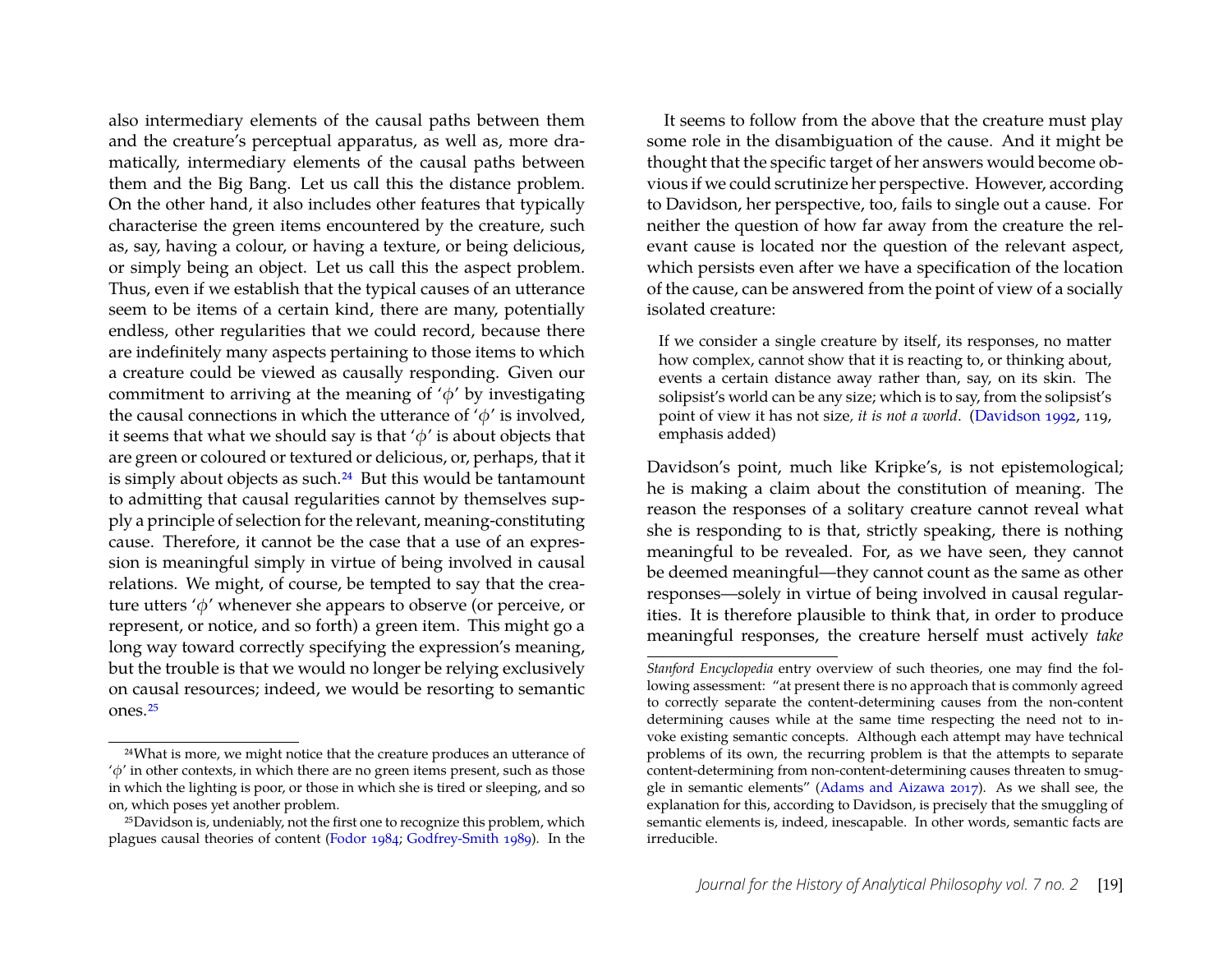also intermediary elements of the causal paths between them and the creature's perceptual apparatus, as well as, more dramatically, intermediary elements of the causal paths between them and the Big Bang. Let us call this the distance problem. On the other hand, it also includes other features that typically characterise the green items encountered by the creature, such as, say, having a colour, or having a texture, or being delicious, or simply being an object. Let us call this the aspect problem. Thus, even if we establish that the typical causes of an utterance seem to be items of a certain kind, there are many, potentially endless, other regularities that we could record, because there are indefinitely many aspects pertaining to those items to which a creature could be viewed as causally responding. Given our commitment to arriving at the meaning of  $\phi'$  by investigating the causal connections in which the utterance of  $\phi'$  is involved, it seems that what we should say is that  $\phi'$  is about objects that are green or coloured or textured or delicious, or, perhaps, that it is simply about objects as such.[24](#page-12-0) But this would be tantamount to admitting that causal regularities cannot by themselves supply a principle of selection for the relevant, meaning-constituting cause. Therefore, it cannot be the case that a use of an expression is meaningful simply in virtue of being involved in causal relations. We might, of course, be tempted to say that the creature utters 'φ' whenever she appears to observe (or perceive, or represent, or notice, and so forth) a green item. This might go a long way toward correctly specifying the expression's meaning, but the trouble is that we would no longer be relying exclusively on causal resources; indeed, we would be resorting to semantic ones.[25](#page-12-1)

It seems to follow from the above that the creature must play some role in the disambiguation of the cause. And it might be thought that the specific target of her answers would become obvious if we could scrutinize her perspective. However, according to Davidson, her perspective, too, fails to single out a cause. For neither the question of how far away from the creature the relevant cause is located nor the question of the relevant aspect, which persists even after we have a specification of the location of the cause, can be answered from the point of view of a socially isolated creature:

If we consider a single creature by itself, its responses, no matter how complex, cannot show that it is reacting to, or thinking about, events a certain distance away rather than, say, on its skin. The solipsist's world can be any size; which is to say, from the solipsist's point of view it has not size*, it is not a world*. [\(Davidson 1992,](#page-20-1) 119, emphasis added)

Davidson's point, much like Kripke's, is not epistemological; he is making a claim about the constitution of meaning. The reason the responses of a solitary creature cannot reveal what she is responding to is that, strictly speaking, there is nothing meaningful to be revealed. For, as we have seen, they cannot be deemed meaningful—they cannot count as the same as other responses—solely in virtue of being involved in causal regularities. It is therefore plausible to think that, in order to produce meaningful responses, the creature herself must actively *take*

<span id="page-12-0"></span><sup>24</sup>What is more, we might notice that the creature produces an utterance of  $\phi'$  in other contexts, in which there are no green items present, such as those in which the lighting is poor, or those in which she is tired or sleeping, and so on, which poses yet another problem.

<span id="page-12-1"></span><sup>&</sup>lt;sup>25</sup>Davidson is, undeniably, not the first one to recognize this problem, which plagues causal theories of content [\(Fodor](#page-20-12) [1984;](#page-20-12) [Godfrey-Smith 1989\)](#page-20-13). In the

*Stanford Encyclopedia* entry overview of such theories, one may find the following assessment: "at present there is no approach that is commonly agreed to correctly separate the content-determining causes from the non-content determining causes while at the same time respecting the need not to invoke existing semantic concepts. Although each attempt may have technical problems of its own, the recurring problem is that the attempts to separate content-determining from non-content-determining causes threaten to smuggle in semantic elements" [\(Adams and Aizawa 2017\)](#page-19-4). As we shall see, the explanation for this, according to Davidson, is precisely that the smuggling of semantic elements is, indeed, inescapable. In other words, semantic facts are irreducible.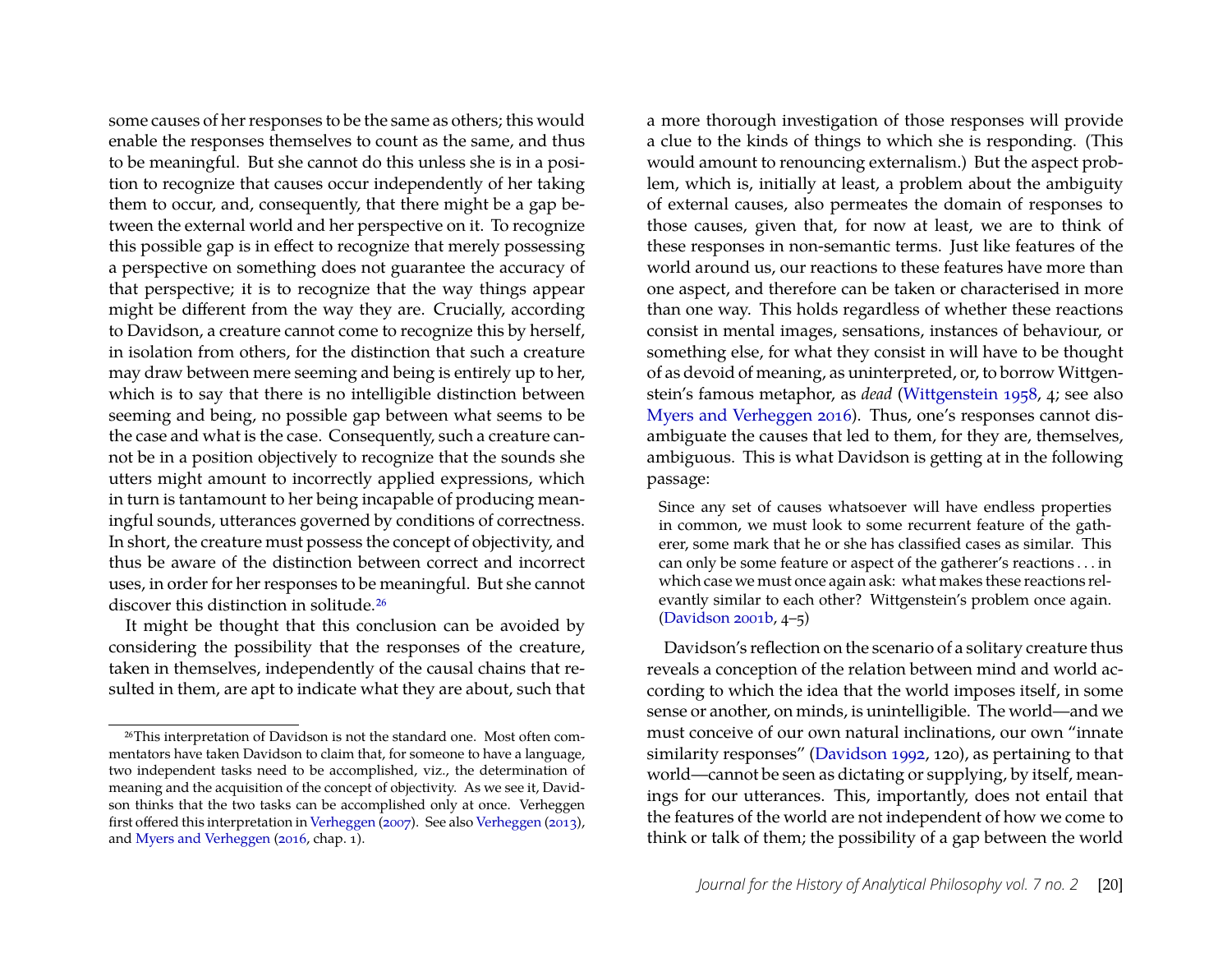some causes of her responses to be the same as others; this would enable the responses themselves to count as the same, and thus to be meaningful. But she cannot do this unless she is in a position to recognize that causes occur independently of her taking them to occur, and, consequently, that there might be a gap between the external world and her perspective on it. To recognize this possible gap is in effect to recognize that merely possessing a perspective on something does not guarantee the accuracy of that perspective; it is to recognize that the way things appear might be different from the way they are. Crucially, according to Davidson, a creature cannot come to recognize this by herself, in isolation from others, for the distinction that such a creature may draw between mere seeming and being is entirely up to her, which is to say that there is no intelligible distinction between seeming and being, no possible gap between what seems to be the case and what is the case. Consequently, such a creature cannot be in a position objectively to recognize that the sounds she utters might amount to incorrectly applied expressions, which in turn is tantamount to her being incapable of producing meaningful sounds, utterances governed by conditions of correctness. In short, the creature must possess the concept of objectivity, and thus be aware of the distinction between correct and incorrect uses, in order for her responses to be meaningful. But she cannot discover this distinction in solitude.[26](#page-13-0)

It might be thought that this conclusion can be avoided by considering the possibility that the responses of the creature, taken in themselves, independently of the causal chains that resulted in them, are apt to indicate what they are about, such that a more thorough investigation of those responses will provide a clue to the kinds of things to which she is responding. (This would amount to renouncing externalism.) But the aspect problem, which is, initially at least, a problem about the ambiguity of external causes, also permeates the domain of responses to those causes, given that, for now at least, we are to think of these responses in non-semantic terms. Just like features of the world around us, our reactions to these features have more than one aspect, and therefore can be taken or characterised in more than one way. This holds regardless of whether these reactions consist in mental images, sensations, instances of behaviour, or something else, for what they consist in will have to be thought of as devoid of meaning, as uninterpreted, or, to borrow Wittgenstein's famous metaphor, as *dead* [\(Wittgenstein 1958,](#page-21-15) 4; see also [Myers and Verheggen 2016\)](#page-21-3). Thus, one's responses cannot disambiguate the causes that led to them, for they are, themselves, ambiguous. This is what Davidson is getting at in the following passage:

Since any set of causes whatsoever will have endless properties in common, we must look to some recurrent feature of the gatherer, some mark that he or she has classified cases as similar. This can only be some feature or aspect of the gatherer's reactions . . . in which case we must once again ask: what makes these reactions relevantly similar to each other? Wittgenstein's problem once again. [\(Davidson 2001b,](#page-20-2) 4–5)

Davidson's reflection on the scenario of a solitary creature thus reveals a conception of the relation between mind and world according to which the idea that the world imposes itself, in some sense or another, on minds, is unintelligible. The world—and we must conceive of our own natural inclinations, our own "innate similarity responses" [\(Davidson 1992,](#page-20-1) 120), as pertaining to that world—cannot be seen as dictating or supplying, by itself, meanings for our utterances. This, importantly, does not entail that the features of the world are not independent of how we come to think or talk of them; the possibility of a gap between the world

<span id="page-13-0"></span><sup>26</sup>This interpretation of Davidson is not the standard one. Most often commentators have taken Davidson to claim that, for someone to have a language, two independent tasks need to be accomplished, viz., the determination of meaning and the acquisition of the concept of objectivity. As we see it, Davidson thinks that the two tasks can be accomplished only at once. Verheggen first offered this interpretation in [Verheggen](#page-21-13) [\(2007\)](#page-21-13). See also [Verheggen](#page-21-14) [\(2013\)](#page-21-14), and [Myers and Verheggen](#page-21-3) [\(2016,](#page-21-3) chap. 1).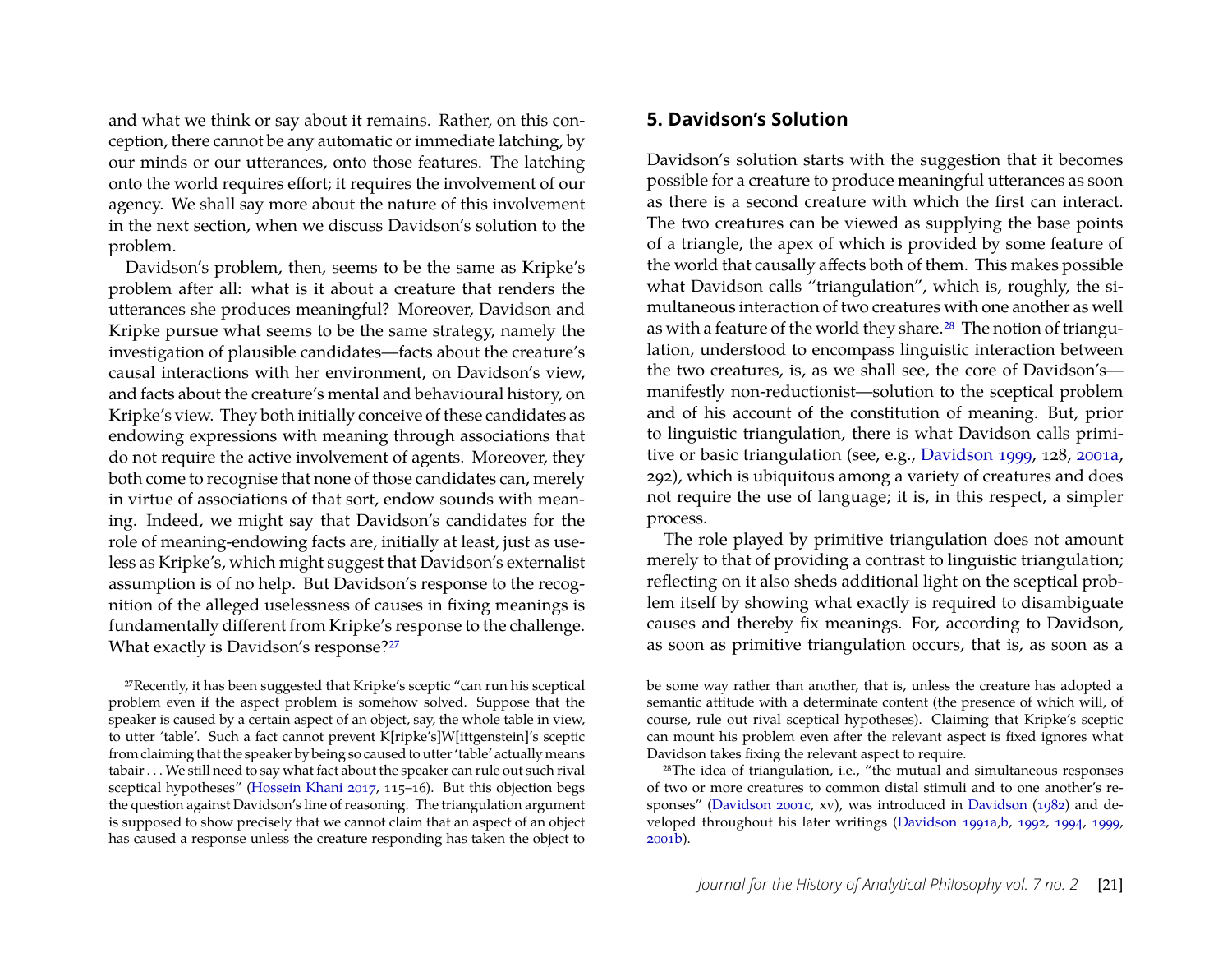and what we think or say about it remains. Rather, on this conception, there cannot be any automatic or immediate latching, by our minds or our utterances, onto those features. The latching onto the world requires effort; it requires the involvement of our agency. We shall say more about the nature of this involvement in the next section, when we discuss Davidson's solution to the problem.

Davidson's problem, then, seems to be the same as Kripke's problem after all: what is it about a creature that renders the utterances she produces meaningful? Moreover, Davidson and Kripke pursue what seems to be the same strategy, namely the investigation of plausible candidates—facts about the creature's causal interactions with her environment, on Davidson's view, and facts about the creature's mental and behavioural history, on Kripke's view. They both initially conceive of these candidates as endowing expressions with meaning through associations that do not require the active involvement of agents. Moreover, they both come to recognise that none of those candidates can, merely in virtue of associations of that sort, endow sounds with meaning. Indeed, we might say that Davidson's candidates for the role of meaning-endowing facts are, initially at least, just as useless as Kripke's, which might suggest that Davidson's externalist assumption is of no help. But Davidson's response to the recognition of the alleged uselessness of causes in fixing meanings is fundamentally different from Kripke's response to the challenge. What exactly is Davidson's response?<sup>[27](#page-14-0)</sup>

#### **5. Davidson's Solution**

Davidson's solution starts with the suggestion that it becomes possible for a creature to produce meaningful utterances as soon as there is a second creature with which the first can interact. The two creatures can be viewed as supplying the base points of a triangle, the apex of which is provided by some feature of the world that causally affects both of them. This makes possible what Davidson calls "triangulation", which is, roughly, the simultaneous interaction of two creatures with one another as well as with a feature of the world they share.[28](#page-14-1) The notion of triangulation, understood to encompass linguistic interaction between the two creatures, is, as we shall see, the core of Davidson's manifestly non-reductionist—solution to the sceptical problem and of his account of the constitution of meaning. But, prior to linguistic triangulation, there is what Davidson calls primitive or basic triangulation (see, e.g., [Davidson 1999,](#page-20-11) 128, [2001a,](#page-20-15) 292), which is ubiquitous among a variety of creatures and does not require the use of language; it is, in this respect, a simpler process.

The role played by primitive triangulation does not amount merely to that of providing a contrast to linguistic triangulation; reflecting on it also sheds additional light on the sceptical problem itself by showing what exactly is required to disambiguate causes and thereby fix meanings. For, according to Davidson, as soon as primitive triangulation occurs, that is, as soon as a

<span id="page-14-0"></span><sup>27</sup>Recently, it has been suggested that Kripke's sceptic "can run his sceptical problem even if the aspect problem is somehow solved. Suppose that the speaker is caused by a certain aspect of an object, say, the whole table in view, to utter 'table'. Such a fact cannot prevent K[ripke's]W[ittgenstein]'s sceptic from claiming that the speaker by being so caused to utter 'table' actually means tabair . . . We still need to say what fact about the speaker can rule out such rival sceptical hypotheses" [\(Hossein Khani](#page-20-14) [2017,](#page-20-14) 115–16). But this objection begs the question against Davidson's line of reasoning. The triangulation argument is supposed to show precisely that we cannot claim that an aspect of an object has caused a response unless the creature responding has taken the object to

be some way rather than another, that is, unless the creature has adopted a semantic attitude with a determinate content (the presence of which will, of course, rule out rival sceptical hypotheses). Claiming that Kripke's sceptic can mount his problem even after the relevant aspect is fixed ignores what Davidson takes fixing the relevant aspect to require.

<span id="page-14-1"></span><sup>28</sup>The idea of triangulation, i.e., "the mutual and simultaneous responses of two or more creatures to common distal stimuli and to one another's responses" [\(Davidson 2001c,](#page-20-16) xv), was introduced in [Davidson](#page-19-5) [\(1982\)](#page-19-5) and developed throughout his later writings [\(Davidson 1991a](#page-20-10)[,b,](#page-20-17) [1992,](#page-20-1) [1994,](#page-20-18) [1999,](#page-20-11) [2001b\)](#page-20-2).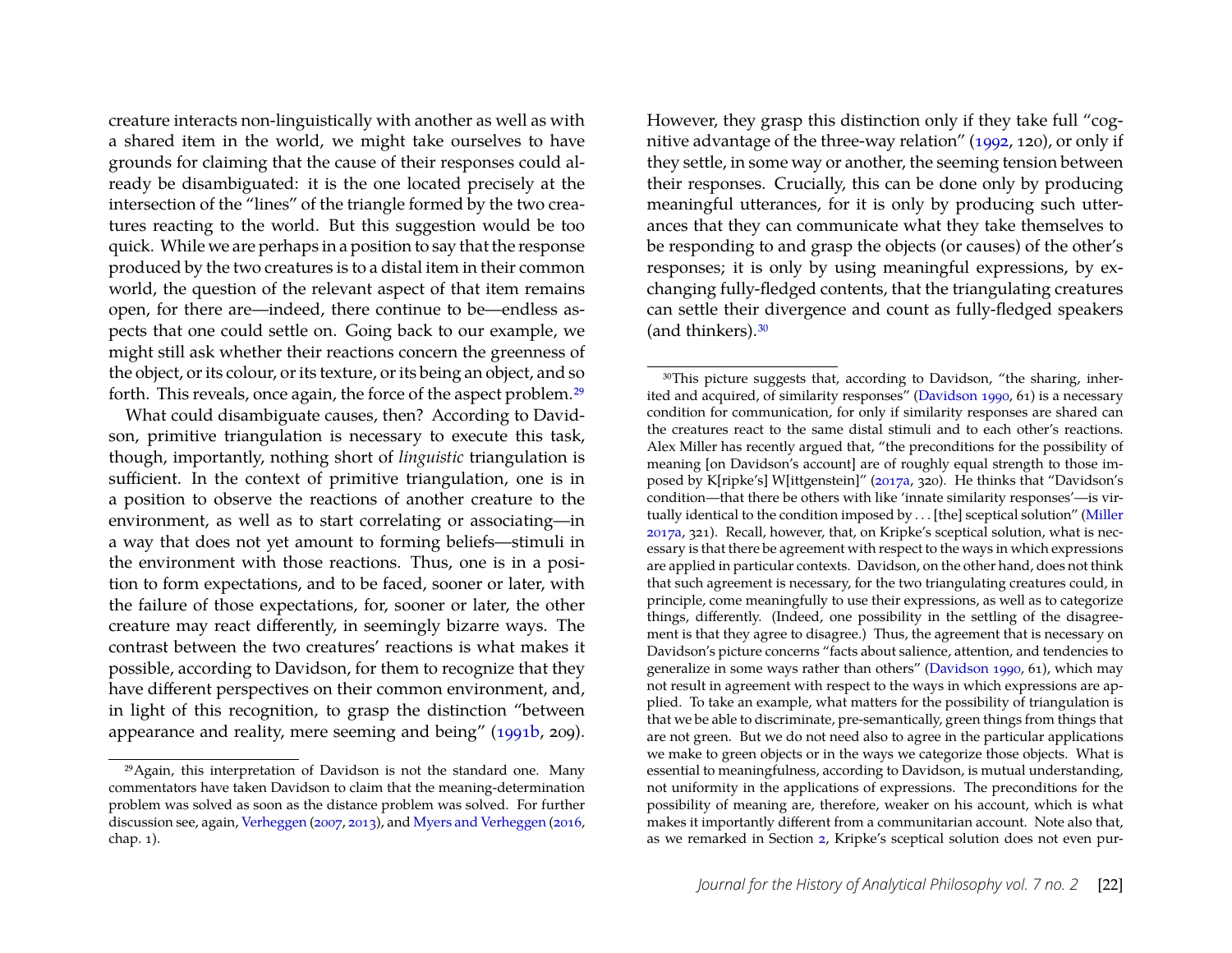creature interacts non-linguistically with another as well as with a shared item in the world, we might take ourselves to have grounds for claiming that the cause of their responses could already be disambiguated: it is the one located precisely at the intersection of the "lines" of the triangle formed by the two creatures reacting to the world. But this suggestion would be too quick. While we are perhaps in a position to say that the response produced by the two creatures is to a distal item in their common world, the question of the relevant aspect of that item remains open, for there are—indeed, there continue to be—endless aspects that one could settle on. Going back to our example, we might still ask whether their reactions concern the greenness of the object, or its colour, or its texture, or its being an object, and so forth. This reveals, once again, the force of the aspect problem.[29](#page-15-0)

What could disambiguate causes, then? According to Davidson, primitive triangulation is necessary to execute this task, though, importantly, nothing short of *linguistic* triangulation is sufficient. In the context of primitive triangulation, one is in a position to observe the reactions of another creature to the environment, as well as to start correlating or associating—in a way that does not yet amount to forming beliefs—stimuli in the environment with those reactions. Thus, one is in a position to form expectations, and to be faced, sooner or later, with the failure of those expectations, for, sooner or later, the other creature may react differently, in seemingly bizarre ways. The contrast between the two creatures' reactions is what makes it possible, according to Davidson, for them to recognize that they have different perspectives on their common environment, and, in light of this recognition, to grasp the distinction "between appearance and reality, mere seeming and being" [\(1991b,](#page-20-17) 209). However, they grasp this distinction only if they take full "cognitive advantage of the three-way relation" [\(1992,](#page-20-1) 120), or only if they settle, in some way or another, the seeming tension between their responses. Crucially, this can be done only by producing meaningful utterances, for it is only by producing such utterances that they can communicate what they take themselves to be responding to and grasp the objects (or causes) of the other's responses; it is only by using meaningful expressions, by exchanging fully-fledged contents, that the triangulating creatures can settle their divergence and count as fully-fledged speakers (and thinkers).<sup>[30](#page-15-1)</sup>

<span id="page-15-0"></span><sup>29</sup>Again, this interpretation of Davidson is not the standard one. Many commentators have taken Davidson to claim that the meaning-determination problem was solved as soon as the distance problem was solved. For further discussion see, again, [Verheggen](#page-21-13) [\(2007,](#page-21-13) [2013\)](#page-21-14), and [Myers and Verheggen](#page-21-3) [\(2016,](#page-21-3) chap. 1).

<span id="page-15-1"></span><sup>&</sup>lt;sup>30</sup>This picture suggests that, according to Davidson, "the sharing, inherited and acquired, of similarity responses" [\(Davidson 1990,](#page-20-19) 61) is a necessary condition for communication, for only if similarity responses are shared can the creatures react to the same distal stimuli and to each other's reactions. Alex Miller has recently argued that, "the preconditions for the possibility of meaning [on Davidson's account] are of roughly equal strength to those imposed by K[ripke's] W[ittgenstein]" [\(2017a,](#page-20-20) 320). He thinks that "Davidson's condition—that there be others with like 'innate similarity responses'—is virtually identical to the condition imposed by . . . [the] sceptical solution" [\(Miller](#page-20-20) [2017a,](#page-20-20) 321). Recall, however, that, on Kripke's sceptical solution, what is necessary is that there be agreement with respect to the ways in which expressions are applied in particular contexts. Davidson, on the other hand, does not think that such agreement is necessary, for the two triangulating creatures could, in principle, come meaningfully to use their expressions, as well as to categorize things, differently. (Indeed, one possibility in the settling of the disagreement is that they agree to disagree.) Thus, the agreement that is necessary on Davidson's picture concerns "facts about salience, attention, and tendencies to generalize in some ways rather than others" [\(Davidson 1990,](#page-20-19) 61), which may not result in agreement with respect to the ways in which expressions are applied. To take an example, what matters for the possibility of triangulation is that we be able to discriminate, pre-semantically, green things from things that are not green. But we do not need also to agree in the particular applications we make to green objects or in the ways we categorize those objects. What is essential to meaningfulness, according to Davidson, is mutual understanding, not uniformity in the applications of expressions. The preconditions for the possibility of meaning are, therefore, weaker on his account, which is what makes it importantly different from a communitarian account. Note also that, as we remarked in Section [2,](#page-1-2) Kripke's sceptical solution does not even pur-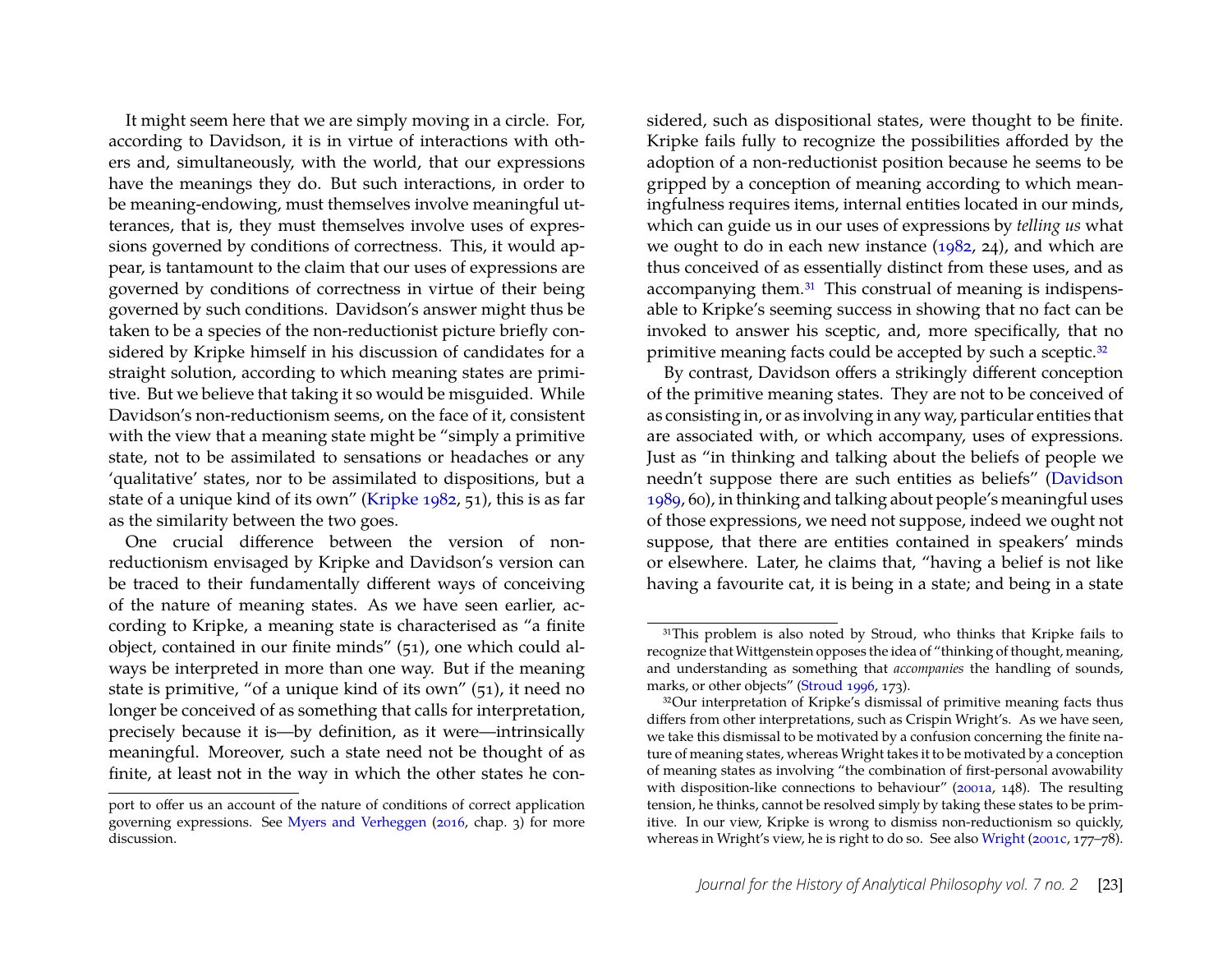It might seem here that we are simply moving in a circle. For, according to Davidson, it is in virtue of interactions with others and, simultaneously, with the world, that our expressions have the meanings they do. But such interactions, in order to be meaning-endowing, must themselves involve meaningful utterances, that is, they must themselves involve uses of expressions governed by conditions of correctness. This, it would appear, is tantamount to the claim that our uses of expressions are governed by conditions of correctness in virtue of their being governed by such conditions. Davidson's answer might thus be taken to be a species of the non-reductionist picture briefly considered by Kripke himself in his discussion of candidates for a straight solution, according to which meaning states are primitive. But we believe that taking it so would be misguided. While Davidson's non-reductionism seems, on the face of it, consistent with the view that a meaning state might be "simply a primitive state, not to be assimilated to sensations or headaches or any 'qualitative' states, nor to be assimilated to dispositions, but a state of a unique kind of its own" [\(Kripke 1982,](#page-20-0) 51), this is as far as the similarity between the two goes.

One crucial difference between the version of nonreductionism envisaged by Kripke and Davidson's version can be traced to their fundamentally different ways of conceiving of the nature of meaning states. As we have seen earlier, according to Kripke, a meaning state is characterised as "a finite object, contained in our finite minds" (51), one which could always be interpreted in more than one way. But if the meaning state is primitive, "of a unique kind of its own" (51), it need no longer be conceived of as something that calls for interpretation, precisely because it is—by definition, as it were—intrinsically meaningful. Moreover, such a state need not be thought of as finite, at least not in the way in which the other states he considered, such as dispositional states, were thought to be finite. Kripke fails fully to recognize the possibilities afforded by the adoption of a non-reductionist position because he seems to be gripped by a conception of meaning according to which meaningfulness requires items, internal entities located in our minds, which can guide us in our uses of expressions by *telling us* what we ought to do in each new instance [\(1982,](#page-20-0) 24), and which are thus conceived of as essentially distinct from these uses, and as accompanying them.[31](#page-16-0) This construal of meaning is indispensable to Kripke's seeming success in showing that no fact can be invoked to answer his sceptic, and, more specifically, that no primitive meaning facts could be accepted by such a sceptic.<sup>[32](#page-16-1)</sup>

By contrast, Davidson offers a strikingly different conception of the primitive meaning states. They are not to be conceived of as consisting in, or as involving in any way, particular entities that are associated with, or which accompany, uses of expressions. Just as "in thinking and talking about the beliefs of people we needn't suppose there are such entities as beliefs" [\(Davidson](#page-20-21) [1989,](#page-20-21) 60), in thinking and talking about people's meaningful uses of those expressions, we need not suppose, indeed we ought not suppose, that there are entities contained in speakers' minds or elsewhere. Later, he claims that, "having a belief is not like having a favourite cat, it is being in a state; and being in a state

port to offer us an account of the nature of conditions of correct application governing expressions. See [Myers and Verheggen](#page-21-3) [\(2016,](#page-21-3) chap. 3) for more discussion.

<span id="page-16-0"></span><sup>&</sup>lt;sup>31</sup>This problem is also noted by Stroud, who thinks that Kripke fails to recognize that Wittgenstein opposes the idea of "thinking of thought, meaning, and understanding as something that *accompanies* the handling of sounds, marks, or other objects" [\(Stroud 1996,](#page-21-11) 173).

<span id="page-16-1"></span><sup>&</sup>lt;sup>32</sup>Our interpretation of Kripke's dismissal of primitive meaning facts thus differs from other interpretations, such as Crispin Wright's. As we have seen, we take this dismissal to be motivated by a confusion concerning the finite nature of meaning states, whereas Wright takes it to be motivated by a conception of meaning states as involving "the combination of first-personal avowability with disposition-like connections to behaviour" [\(2001a,](#page-21-16) 148). The resulting tension, he thinks, cannot be resolved simply by taking these states to be primitive. In our view, Kripke is wrong to dismiss non-reductionism so quickly, whereas in Wright's view, he is right to do so. See also [Wright](#page-21-17) [\(2001c,](#page-21-17) 177–78).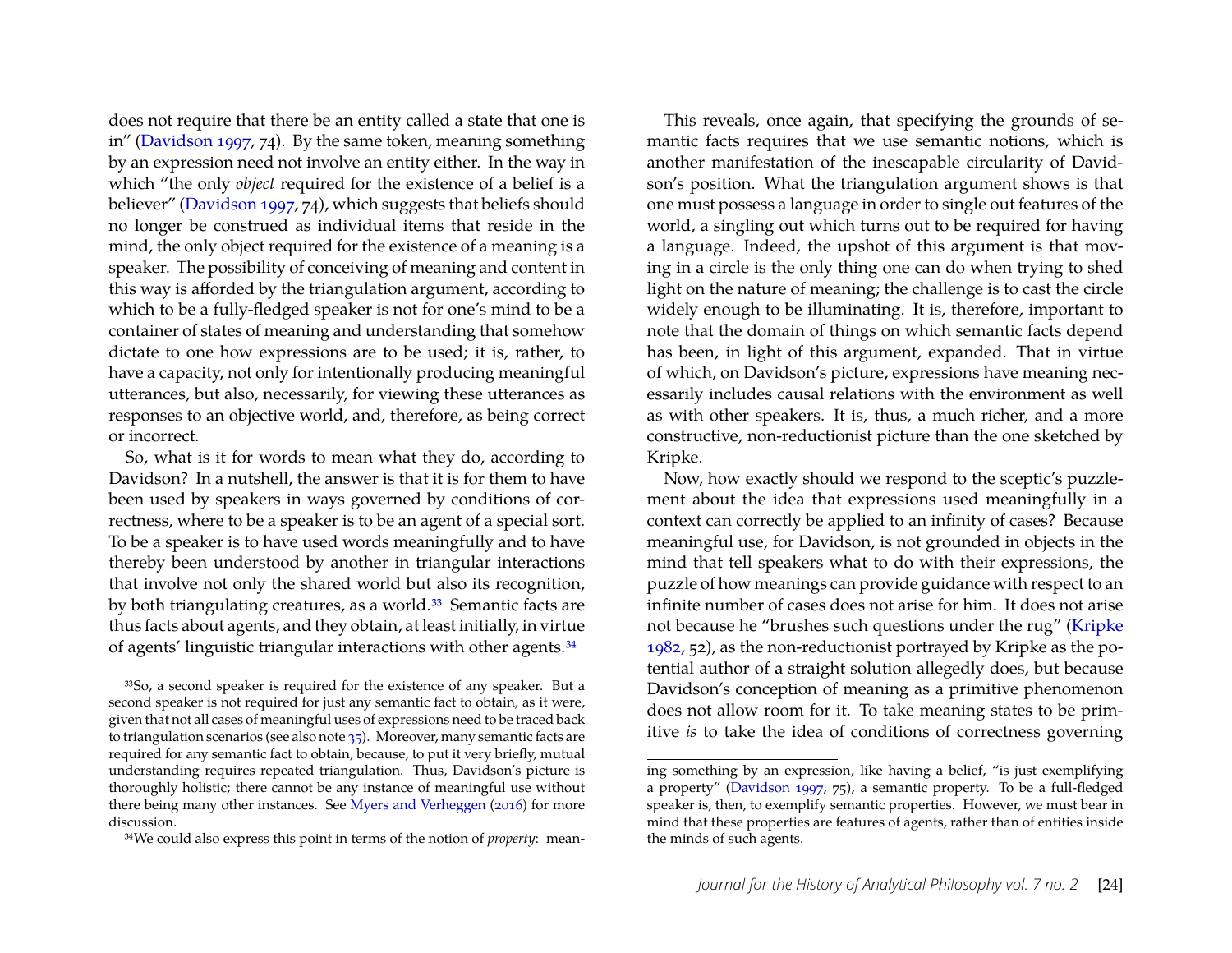does not require that there be an entity called a state that one is in" [\(Davidson](#page-20-22) [1997,](#page-20-22) 74). By the same token, meaning something by an expression need not involve an entity either. In the way in which "the only *object* required for the existence of a belief is a believer" [\(Davidson 1997,](#page-20-22) 74), which suggests that beliefs should no longer be construed as individual items that reside in the mind, the only object required for the existence of a meaning is a speaker. The possibility of conceiving of meaning and content in this way is afforded by the triangulation argument, according to which to be a fully-fledged speaker is not for one's mind to be a container of states of meaning and understanding that somehow dictate to one how expressions are to be used; it is, rather, to have a capacity, not only for intentionally producing meaningful utterances, but also, necessarily, for viewing these utterances as responses to an objective world, and, therefore, as being correct or incorrect.

So, what is it for words to mean what they do, according to Davidson? In a nutshell, the answer is that it is for them to have been used by speakers in ways governed by conditions of correctness, where to be a speaker is to be an agent of a special sort. To be a speaker is to have used words meaningfully and to have thereby been understood by another in triangular interactions that involve not only the shared world but also its recognition, by both triangulating creatures, as a world.<sup>33</sup> Semantic facts are thus facts about agents, and they obtain, at least initially, in virtue of agents' linguistic triangular interactions with other agents.<sup>34</sup>

This reveals, once again, that specifying the grounds of semantic facts requires that we use semantic notions, which is another manifestation of the inescapable circularity of Davidson's position. What the triangulation argument shows is that one must possess a language in order to single out features of the world, a singling out which turns out to be required for having a language. Indeed, the upshot of this argument is that moving in a circle is the only thing one can do when trying to shed light on the nature of meaning; the challenge is to cast the circle widely enough to be illuminating. It is, therefore, important to note that the domain of things on which semantic facts depend has been, in light of this argument, expanded. That in virtue of which, on Davidson's picture, expressions have meaning necessarily includes causal relations with the environment as well as with other speakers. It is, thus, a much richer, and a more constructive, non-reductionist picture than the one sketched by Kripke.

Now, how exactly should we respond to the sceptic's puzzlement about the idea that expressions used meaningfully in a context can correctly be applied to an infinity of cases? Because meaningful use, for Davidson, is not grounded in objects in the mind that tell speakers what to do with their expressions, the puzzle of how meanings can provide guidance with respect to an infinite number of cases does not arise for him. It does not arise not because he "brushes such questions under the rug" [\(Kripke](#page-20-0) [1982,](#page-20-0) 52), as the non-reductionist portrayed by Kripke as the potential author of a straight solution allegedly does, but because Davidson's conception of meaning as a primitive phenomenon does not allow room for it. To take meaning states to be primitive *is* to take the idea of conditions of correctness governing

<span id="page-17-0"></span><sup>33</sup>So, a second speaker is required for the existence of any speaker. But a second speaker is not required for just any semantic fact to obtain, as it were, given that not all cases of meaningful uses of expressions need to be traced back to triangulation scenarios (see also note [35\)](#page-18-0). Moreover, many semantic facts are required for any semantic fact to obtain, because, to put it very briefly, mutual understanding requires repeated triangulation. Thus, Davidson's picture is thoroughly holistic; there cannot be any instance of meaningful use without there being many other instances. See [Myers and Verheggen](#page-21-3) [\(2016\)](#page-21-3) for more discussion.

<span id="page-17-1"></span><sup>34</sup>We could also express this point in terms of the notion of *property*: mean-

ing something by an expression, like having a belief, "is just exemplifying a property" [\(Davidson 1997,](#page-20-22) 75), a semantic property. To be a full-fledged speaker is, then, to exemplify semantic properties. However, we must bear in mind that these properties are features of agents, rather than of entities inside the minds of such agents.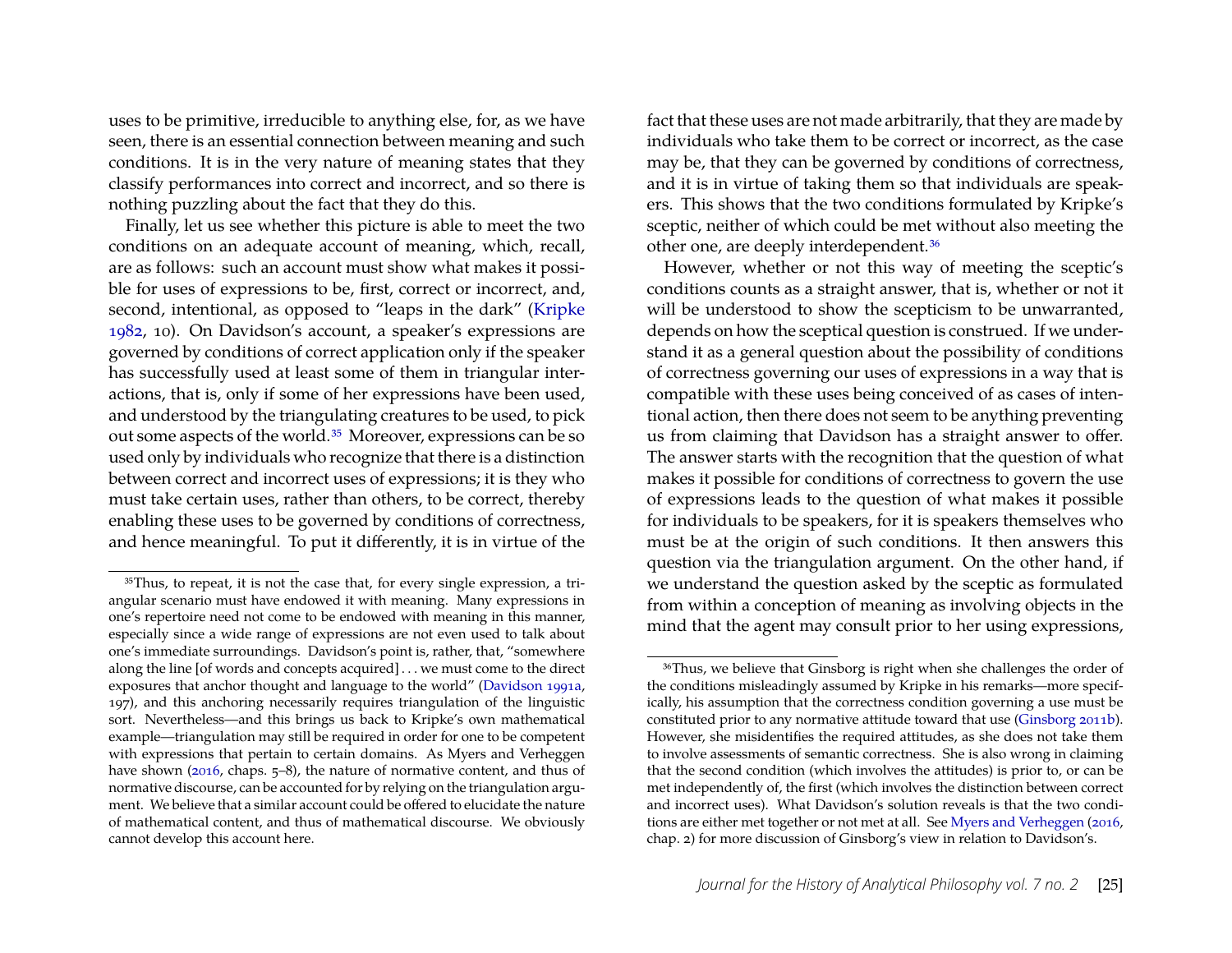uses to be primitive, irreducible to anything else, for, as we have seen, there is an essential connection between meaning and such conditions. It is in the very nature of meaning states that they classify performances into correct and incorrect, and so there is nothing puzzling about the fact that they do this.

Finally, let us see whether this picture is able to meet the two conditions on an adequate account of meaning, which, recall, are as follows: such an account must show what makes it possible for uses of expressions to be, first, correct or incorrect, and, second, intentional, as opposed to "leaps in the dark" [\(Kripke](#page-20-0) [1982,](#page-20-0) 10). On Davidson's account, a speaker's expressions are governed by conditions of correct application only if the speaker has successfully used at least some of them in triangular interactions, that is, only if some of her expressions have been used, and understood by the triangulating creatures to be used, to pick out some aspects of the world[.35](#page-18-0) Moreover, expressions can be so used only by individuals who recognize that there is a distinction between correct and incorrect uses of expressions; it is they who must take certain uses, rather than others, to be correct, thereby enabling these uses to be governed by conditions of correctness, and hence meaningful. To put it differently, it is in virtue of the fact that these uses are not made arbitrarily, that they are made by individuals who take them to be correct or incorrect, as the case may be, that they can be governed by conditions of correctness, and it is in virtue of taking them so that individuals are speakers. This shows that the two conditions formulated by Kripke's sceptic, neither of which could be met without also meeting the other one, are deeply interdependent[.36](#page-18-1)

However, whether or not this way of meeting the sceptic's conditions counts as a straight answer, that is, whether or not it will be understood to show the scepticism to be unwarranted, depends on how the sceptical question is construed. If we understand it as a general question about the possibility of conditions of correctness governing our uses of expressions in a way that is compatible with these uses being conceived of as cases of intentional action, then there does not seem to be anything preventing us from claiming that Davidson has a straight answer to offer. The answer starts with the recognition that the question of what makes it possible for conditions of correctness to govern the use of expressions leads to the question of what makes it possible for individuals to be speakers, for it is speakers themselves who must be at the origin of such conditions. It then answers this question via the triangulation argument. On the other hand, if we understand the question asked by the sceptic as formulated from within a conception of meaning as involving objects in the mind that the agent may consult prior to her using expressions,

<span id="page-18-0"></span><sup>35</sup>Thus, to repeat, it is not the case that, for every single expression, a triangular scenario must have endowed it with meaning. Many expressions in one's repertoire need not come to be endowed with meaning in this manner, especially since a wide range of expressions are not even used to talk about one's immediate surroundings. Davidson's point is, rather, that, "somewhere along the line [of words and concepts acquired] . . . we must come to the direct exposures that anchor thought and language to the world" [\(Davidson 1991a,](#page-20-10) 197), and this anchoring necessarily requires triangulation of the linguistic sort. Nevertheless—and this brings us back to Kripke's own mathematical example—triangulation may still be required in order for one to be competent with expressions that pertain to certain domains. As Myers and Verheggen have shown [\(2016,](#page-21-3) chaps. 5–8), the nature of normative content, and thus of normative discourse, can be accounted for by relying on the triangulation argument. We believe that a similar account could be offered to elucidate the nature of mathematical content, and thus of mathematical discourse. We obviously cannot develop this account here.

<span id="page-18-1"></span><sup>36</sup>Thus, we believe that Ginsborg is right when she challenges the order of the conditions misleadingly assumed by Kripke in his remarks—more specifically, his assumption that the correctness condition governing a use must be constituted prior to any normative attitude toward that use [\(Ginsborg 2011b\)](#page-20-23). However, she misidentifies the required attitudes, as she does not take them to involve assessments of semantic correctness. She is also wrong in claiming that the second condition (which involves the attitudes) is prior to, or can be met independently of, the first (which involves the distinction between correct and incorrect uses). What Davidson's solution reveals is that the two conditions are either met together or not met at all. See [Myers and Verheggen](#page-21-3) [\(2016,](#page-21-3) chap. 2) for more discussion of Ginsborg's view in relation to Davidson's.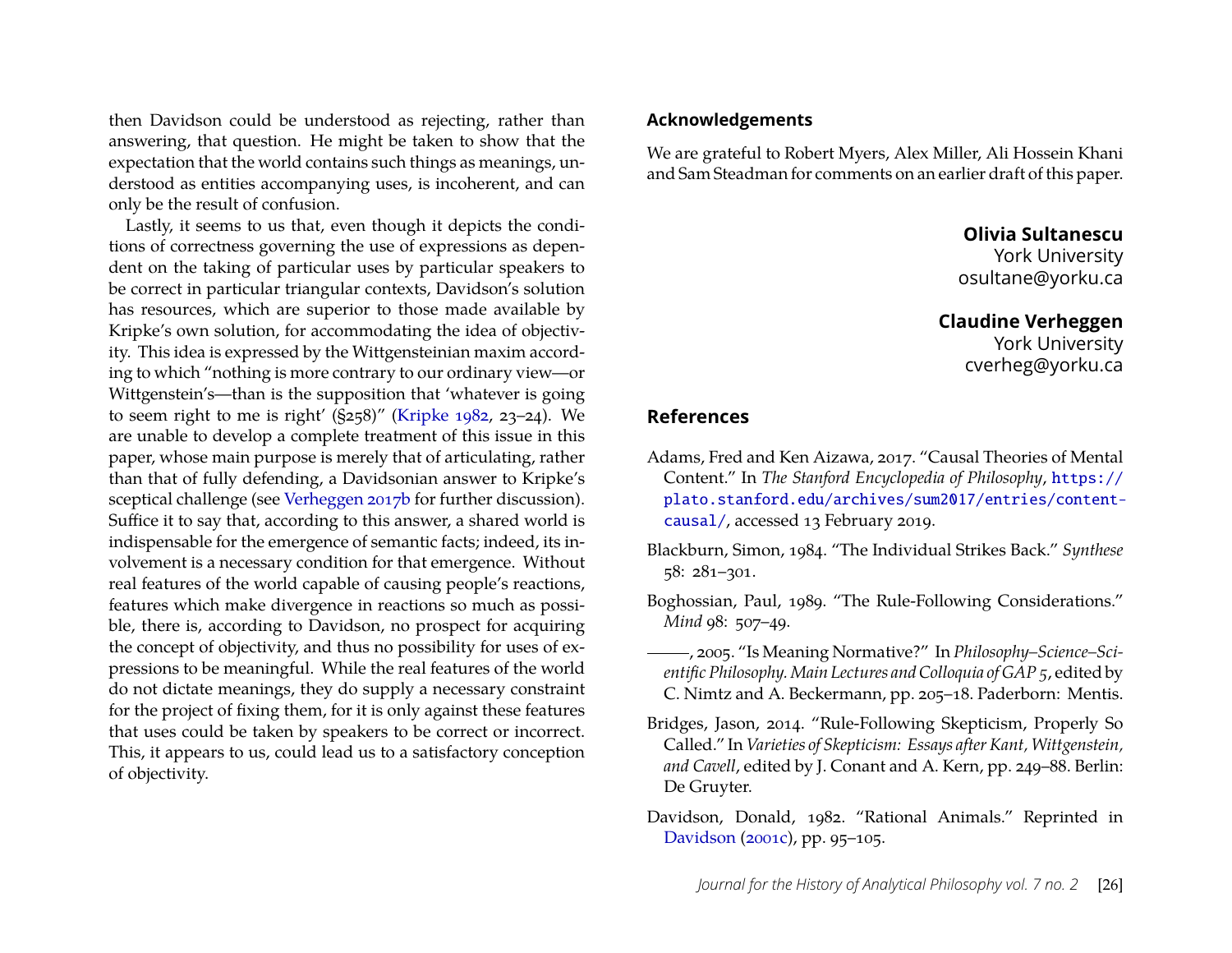then Davidson could be understood as rejecting, rather than answering, that question. He might be taken to show that the expectation that the world contains such things as meanings, understood as entities accompanying uses, is incoherent, and can only be the result of confusion.

Lastly, it seems to us that, even though it depicts the conditions of correctness governing the use of expressions as dependent on the taking of particular uses by particular speakers to be correct in particular triangular contexts, Davidson's solution has resources, which are superior to those made available by Kripke's own solution, for accommodating the idea of objectivity. This idea is expressed by the Wittgensteinian maxim according to which "nothing is more contrary to our ordinary view—or Wittgenstein's—than is the supposition that 'whatever is going to seem right to me is right' (§258)" [\(Kripke 1982,](#page-20-0) 23–24). We are unable to develop a complete treatment of this issue in this paper, whose main purpose is merely that of articulating, rather than that of fully defending, a Davidsonian answer to Kripke's sceptical challenge (see [Verheggen 2017b](#page-21-18) for further discussion). Suffice it to say that, according to this answer, a shared world is indispensable for the emergence of semantic facts; indeed, its involvement is a necessary condition for that emergence. Without real features of the world capable of causing people's reactions, features which make divergence in reactions so much as possible, there is, according to Davidson, no prospect for acquiring the concept of objectivity, and thus no possibility for uses of expressions to be meaningful. While the real features of the world do not dictate meanings, they do supply a necessary constraint for the project of fixing them, for it is only against these features that uses could be taken by speakers to be correct or incorrect. This, it appears to us, could lead us to a satisfactory conception of objectivity.

#### **Acknowledgements**

We are grateful to Robert Myers, Alex Miller, Ali Hossein Khani and Sam Steadman for comments on an earlier draft of this paper.

**Olivia Sultanescu**

York University osultane@yorku.ca

## **Claudine Verheggen**

York University cverheg@yorku.ca

## **References**

- <span id="page-19-4"></span>Adams, Fred and Ken Aizawa, 2017. "Causal Theories of Mental Content." In *The Stanford Encyclopedia of Philosophy*, [https://](https://plato.stanford.edu/archives/sum2017/entries/content-causal/) [plato.stanford.edu/archives/sum2017/entries/content](https://plato.stanford.edu/archives/sum2017/entries/content-causal/)[causal/](https://plato.stanford.edu/archives/sum2017/entries/content-causal/), accessed 13 February 2019.
- <span id="page-19-1"></span>Blackburn, Simon, 1984. "The Individual Strikes Back." *Synthese* 58: 281–301.
- <span id="page-19-0"></span>Boghossian, Paul, 1989. "The Rule-Following Considerations." *Mind* 98: 507–49.
- <span id="page-19-3"></span>, 2005. "Is Meaning Normative?" In *Philosophy–Science–Scientific Philosophy. Main Lectures and Colloquia of GAP 5*, edited by C. Nimtz and A. Beckermann, pp. 205–18. Paderborn: Mentis.
- <span id="page-19-2"></span>Bridges, Jason, 2014. "Rule-Following Skepticism, Properly So Called." In *Varieties of Skepticism: Essays after Kant, Wittgenstein, and Cavell*, edited by J. Conant and A. Kern, pp. 249–88. Berlin: De Gruyter.
- <span id="page-19-5"></span>Davidson, Donald, 1982. "Rational Animals." Reprinted in [Davidson](#page-20-16) [\(2001c\)](#page-20-16), pp. 95–105.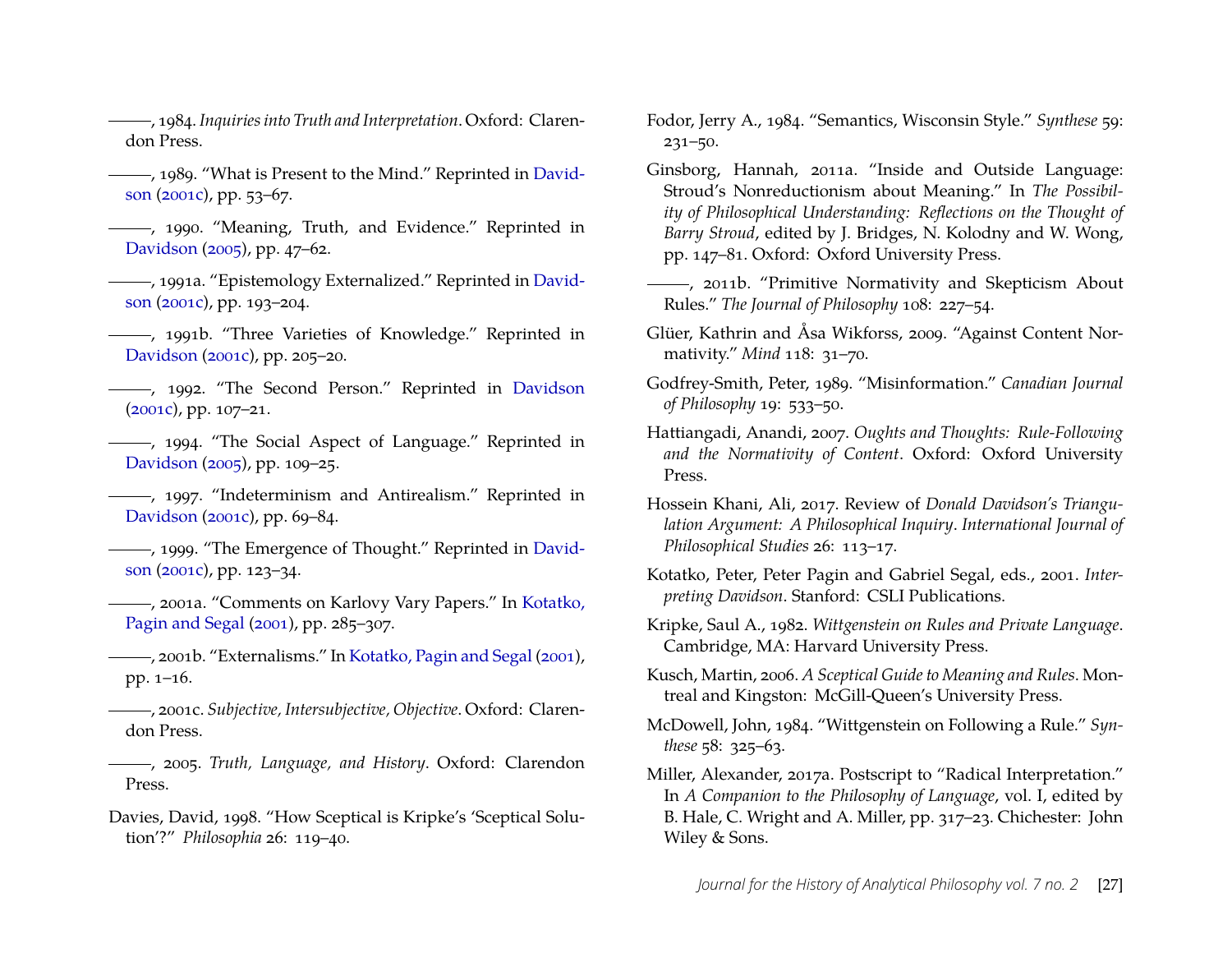<span id="page-20-9"></span>, 1984. *Inquiries into Truth and Interpretation*. Oxford: Clarendon Press.

- <span id="page-20-21"></span>- 1989. "What is Present to the Mind." Reprinted in [David](#page-20-16)[son](#page-20-16) [\(2001c\)](#page-20-16), pp. 53–67.
- <span id="page-20-19"></span>(1990. "Meaning, Truth, and Evidence." Reprinted in [Davidson](#page-20-24) [\(2005\)](#page-20-24), pp. 47–62.
- <span id="page-20-10"></span>, 1991a. "Epistemology Externalized." Reprinted in [David](#page-20-16)[son](#page-20-16) [\(2001c\)](#page-20-16), pp. 193–204.
- <span id="page-20-17"></span>, 1991b. "Three Varieties of Knowledge." Reprinted in [Davidson](#page-20-16) [\(2001c\)](#page-20-16), pp. 205–20.
- <span id="page-20-1"></span>(1992. "The Second Person." Reprinted in [Davidson](#page-20-16) [\(2001c\)](#page-20-16), pp. 107–21.
- <span id="page-20-18"></span>, 1994. "The Social Aspect of Language." Reprinted in [Davidson](#page-20-24) [\(2005\)](#page-20-24), pp. 109–25.
- <span id="page-20-22"></span>, 1997. "Indeterminism and Antirealism." Reprinted in [Davidson](#page-20-16) [\(2001c\)](#page-20-16), pp. 69–84.
- <span id="page-20-11"></span>(1999). "The Emergence of Thought." Reprinted in [David](#page-20-16)[son](#page-20-16) [\(2001c\)](#page-20-16), pp. 123–34.
- <span id="page-20-15"></span>, 2001a. "Comments on Karlovy Vary Papers." In [Kotatko,](#page-20-25) [Pagin and Segal](#page-20-25) [\(2001\)](#page-20-25), pp. 285–307.
- <span id="page-20-2"></span>, 2001b. "Externalisms." In [Kotatko, Pagin and Segal](#page-20-25) [\(2001\)](#page-20-25), pp. 1–16.
- <span id="page-20-16"></span>, 2001c. *Subjective, Intersubjective, Objective*. Oxford: Clarendon Press.
- <span id="page-20-24"></span>, 2005. *Truth, Language, and History*. Oxford: Clarendon Press.
- <span id="page-20-7"></span>Davies, David, 1998. "How Sceptical is Kripke's 'Sceptical Solution'?" *Philosophia* 26: 119–40.
- <span id="page-20-12"></span>Fodor, Jerry A., 1984. "Semantics, Wisconsin Style." *Synthese* 59: 231–50.
- <span id="page-20-3"></span>Ginsborg, Hannah, 2011a. "Inside and Outside Language: Stroud's Nonreductionism about Meaning." In *The Possibility of Philosophical Understanding: Reflections on the Thought of Barry Stroud*, edited by J. Bridges, N. Kolodny and W. Wong, pp. 147–81. Oxford: Oxford University Press.
- <span id="page-20-23"></span>(2011b. "Primitive Normativity and Skepticism About Rules." *The Journal of Philosophy* 108: 227–54.
- <span id="page-20-5"></span>Glüer, Kathrin and Åsa Wikforss, 2009. "Against Content Normativity." *Mind* 118: 31–70.
- <span id="page-20-13"></span>Godfrey-Smith, Peter, 1989. "Misinformation." *Canadian Journal of Philosophy* 19: 533–50.
- <span id="page-20-4"></span>Hattiangadi, Anandi, 2007. *Oughts and Thoughts: Rule-Following and the Normativity of Content*. Oxford: Oxford University Press.
- <span id="page-20-14"></span>Hossein Khani, Ali, 2017. Review of *Donald Davidson's Triangulation Argument: A Philosophical Inquiry*. *International Journal of Philosophical Studies* 26: 113–17.
- <span id="page-20-25"></span>Kotatko, Peter, Peter Pagin and Gabriel Segal, eds., 2001. *Interpreting Davidson*. Stanford: CSLI Publications.
- <span id="page-20-0"></span>Kripke, Saul A., 1982. *Wittgenstein on Rules and Private Language*. Cambridge, MA: Harvard University Press.
- <span id="page-20-8"></span>Kusch, Martin, 2006. *A Sceptical Guide to Meaning and Rules*. Montreal and Kingston: McGill-Queen's University Press.
- <span id="page-20-6"></span>McDowell, John, 1984. "Wittgenstein on Following a Rule." *Synthese* 58: 325–63.
- <span id="page-20-20"></span>Miller, Alexander, 2017a. Postscript to "Radical Interpretation." In *A Companion to the Philosophy of Language*, vol. I, edited by B. Hale, C. Wright and A. Miller, pp. 317–23. Chichester: John Wiley & Sons.